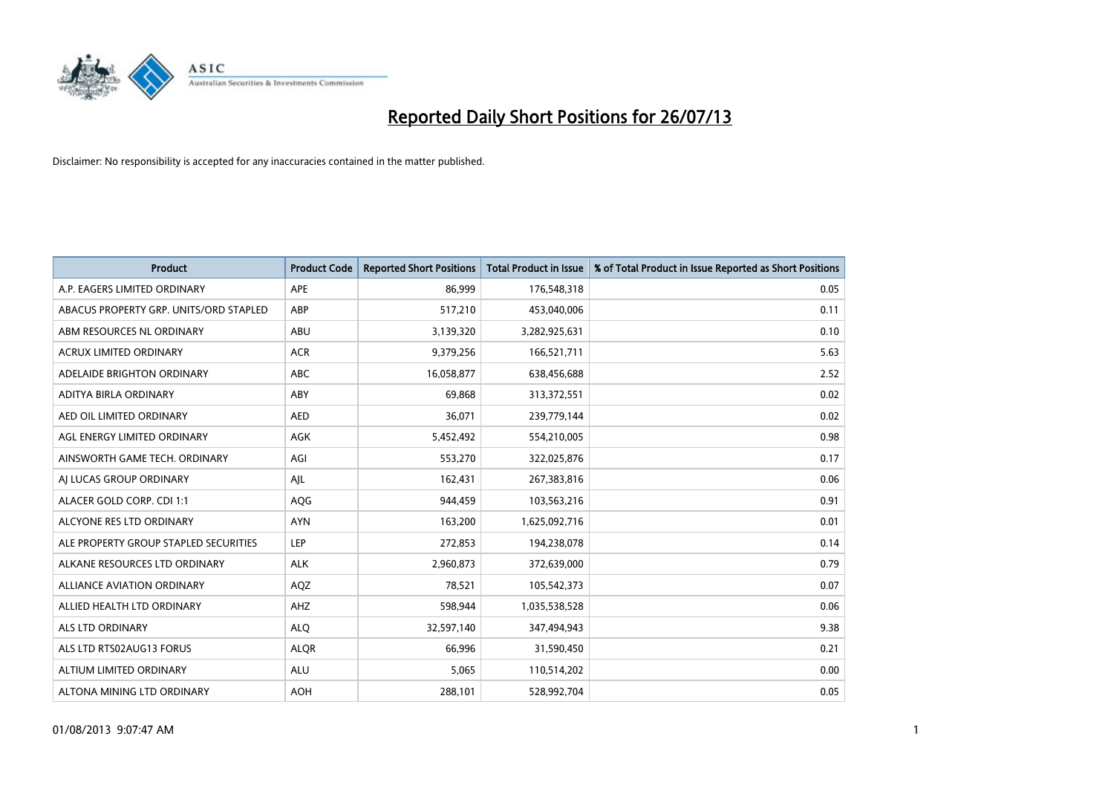

| <b>Product</b>                         | <b>Product Code</b> | <b>Reported Short Positions</b> | <b>Total Product in Issue</b> | % of Total Product in Issue Reported as Short Positions |
|----------------------------------------|---------------------|---------------------------------|-------------------------------|---------------------------------------------------------|
| A.P. EAGERS LIMITED ORDINARY           | <b>APE</b>          | 86,999                          | 176,548,318                   | 0.05                                                    |
| ABACUS PROPERTY GRP. UNITS/ORD STAPLED | ABP                 | 517,210                         | 453,040,006                   | 0.11                                                    |
| ABM RESOURCES NL ORDINARY              | ABU                 | 3,139,320                       | 3,282,925,631                 | 0.10                                                    |
| ACRUX LIMITED ORDINARY                 | <b>ACR</b>          | 9,379,256                       | 166,521,711                   | 5.63                                                    |
| ADELAIDE BRIGHTON ORDINARY             | <b>ABC</b>          | 16,058,877                      | 638,456,688                   | 2.52                                                    |
| ADITYA BIRLA ORDINARY                  | ABY                 | 69,868                          | 313,372,551                   | 0.02                                                    |
| AED OIL LIMITED ORDINARY               | <b>AED</b>          | 36,071                          | 239,779,144                   | 0.02                                                    |
| AGL ENERGY LIMITED ORDINARY            | AGK                 | 5,452,492                       | 554,210,005                   | 0.98                                                    |
| AINSWORTH GAME TECH. ORDINARY          | AGI                 | 553,270                         | 322,025,876                   | 0.17                                                    |
| AI LUCAS GROUP ORDINARY                | AIL                 | 162,431                         | 267,383,816                   | 0.06                                                    |
| ALACER GOLD CORP. CDI 1:1              | AQG                 | 944,459                         | 103,563,216                   | 0.91                                                    |
| ALCYONE RES LTD ORDINARY               | <b>AYN</b>          | 163,200                         | 1,625,092,716                 | 0.01                                                    |
| ALE PROPERTY GROUP STAPLED SECURITIES  | LEP                 | 272,853                         | 194,238,078                   | 0.14                                                    |
| ALKANE RESOURCES LTD ORDINARY          | <b>ALK</b>          | 2,960,873                       | 372,639,000                   | 0.79                                                    |
| <b>ALLIANCE AVIATION ORDINARY</b>      | AQZ                 | 78,521                          | 105,542,373                   | 0.07                                                    |
| ALLIED HEALTH LTD ORDINARY             | AHZ                 | 598,944                         | 1,035,538,528                 | 0.06                                                    |
| ALS LTD ORDINARY                       | <b>ALO</b>          | 32,597,140                      | 347,494,943                   | 9.38                                                    |
| ALS LTD RTS02AUG13 FORUS               | <b>ALQR</b>         | 66,996                          | 31,590,450                    | 0.21                                                    |
| ALTIUM LIMITED ORDINARY                | <b>ALU</b>          | 5,065                           | 110,514,202                   | 0.00                                                    |
| ALTONA MINING LTD ORDINARY             | <b>AOH</b>          | 288,101                         | 528,992,704                   | 0.05                                                    |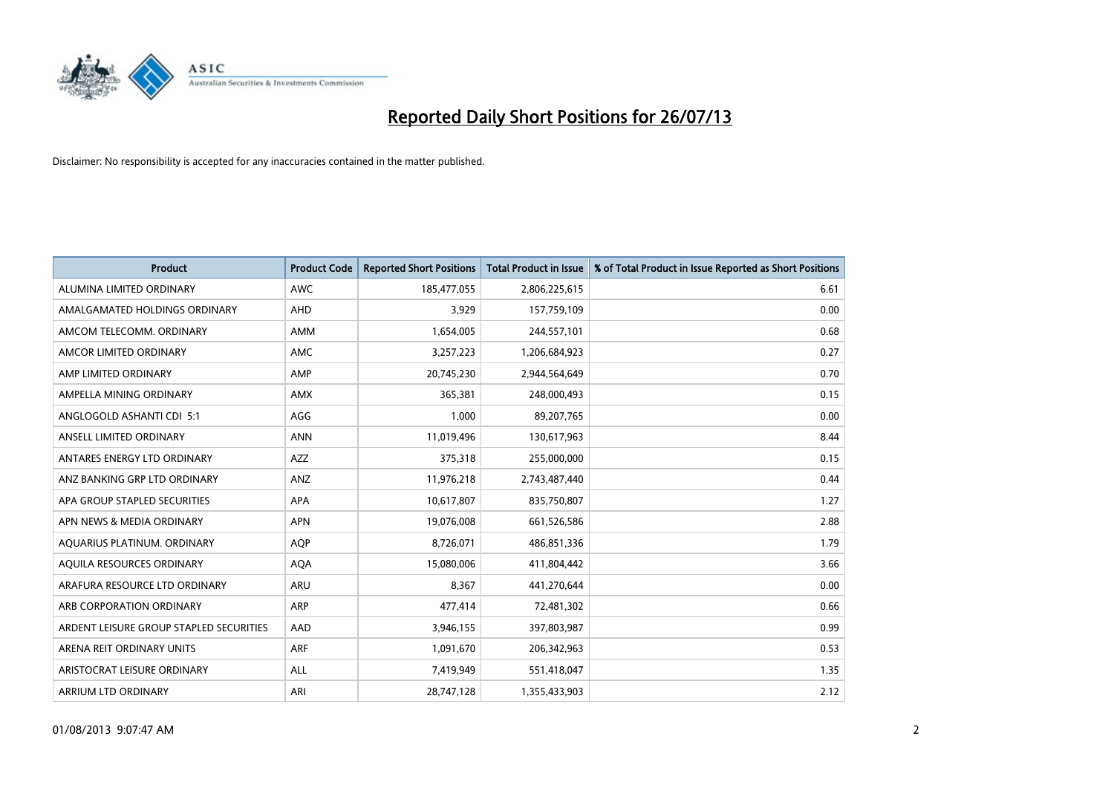

| <b>Product</b>                          | <b>Product Code</b> | <b>Reported Short Positions</b> | Total Product in Issue | % of Total Product in Issue Reported as Short Positions |
|-----------------------------------------|---------------------|---------------------------------|------------------------|---------------------------------------------------------|
| ALUMINA LIMITED ORDINARY                | <b>AWC</b>          | 185,477,055                     | 2,806,225,615          | 6.61                                                    |
| AMALGAMATED HOLDINGS ORDINARY           | <b>AHD</b>          | 3,929                           | 157,759,109            | 0.00                                                    |
| AMCOM TELECOMM, ORDINARY                | <b>AMM</b>          | 1,654,005                       | 244,557,101            | 0.68                                                    |
| AMCOR LIMITED ORDINARY                  | <b>AMC</b>          | 3,257,223                       | 1,206,684,923          | 0.27                                                    |
| AMP LIMITED ORDINARY                    | AMP                 | 20,745,230                      | 2,944,564,649          | 0.70                                                    |
| AMPELLA MINING ORDINARY                 | <b>AMX</b>          | 365,381                         | 248,000,493            | 0.15                                                    |
| ANGLOGOLD ASHANTI CDI 5:1               | AGG                 | 1.000                           | 89,207,765             | 0.00                                                    |
| ANSELL LIMITED ORDINARY                 | <b>ANN</b>          | 11,019,496                      | 130,617,963            | 8.44                                                    |
| ANTARES ENERGY LTD ORDINARY             | <b>AZZ</b>          | 375,318                         | 255,000,000            | 0.15                                                    |
| ANZ BANKING GRP LTD ORDINARY            | ANZ                 | 11,976,218                      | 2,743,487,440          | 0.44                                                    |
| APA GROUP STAPLED SECURITIES            | <b>APA</b>          | 10,617,807                      | 835,750,807            | 1.27                                                    |
| APN NEWS & MEDIA ORDINARY               | <b>APN</b>          | 19,076,008                      | 661,526,586            | 2.88                                                    |
| AQUARIUS PLATINUM. ORDINARY             | <b>AOP</b>          | 8,726,071                       | 486,851,336            | 1.79                                                    |
| AQUILA RESOURCES ORDINARY               | <b>AQA</b>          | 15,080,006                      | 411,804,442            | 3.66                                                    |
| ARAFURA RESOURCE LTD ORDINARY           | ARU                 | 8,367                           | 441,270,644            | 0.00                                                    |
| ARB CORPORATION ORDINARY                | <b>ARP</b>          | 477,414                         | 72,481,302             | 0.66                                                    |
| ARDENT LEISURE GROUP STAPLED SECURITIES | AAD                 | 3,946,155                       | 397,803,987            | 0.99                                                    |
| ARENA REIT ORDINARY UNITS               | <b>ARF</b>          | 1,091,670                       | 206,342,963            | 0.53                                                    |
| ARISTOCRAT LEISURE ORDINARY             | <b>ALL</b>          | 7,419,949                       | 551,418,047            | 1.35                                                    |
| <b>ARRIUM LTD ORDINARY</b>              | ARI                 | 28,747,128                      | 1,355,433,903          | 2.12                                                    |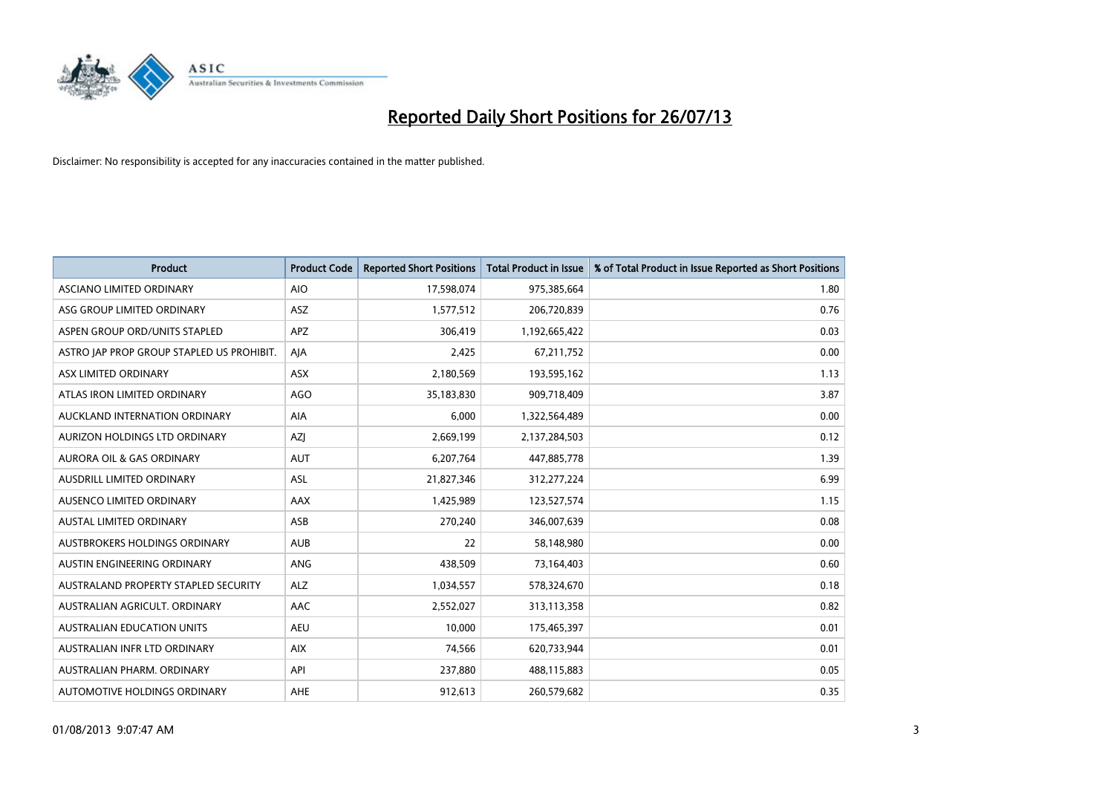

| <b>Product</b>                            | <b>Product Code</b> | <b>Reported Short Positions</b> | <b>Total Product in Issue</b> | % of Total Product in Issue Reported as Short Positions |
|-------------------------------------------|---------------------|---------------------------------|-------------------------------|---------------------------------------------------------|
| ASCIANO LIMITED ORDINARY                  | <b>AIO</b>          | 17,598,074                      | 975,385,664                   | 1.80                                                    |
| ASG GROUP LIMITED ORDINARY                | <b>ASZ</b>          | 1,577,512                       | 206,720,839                   | 0.76                                                    |
| ASPEN GROUP ORD/UNITS STAPLED             | <b>APZ</b>          | 306,419                         | 1,192,665,422                 | 0.03                                                    |
| ASTRO JAP PROP GROUP STAPLED US PROHIBIT. | AJA                 | 2,425                           | 67,211,752                    | 0.00                                                    |
| ASX LIMITED ORDINARY                      | ASX                 | 2,180,569                       | 193,595,162                   | 1.13                                                    |
| ATLAS IRON LIMITED ORDINARY               | <b>AGO</b>          | 35,183,830                      | 909,718,409                   | 3.87                                                    |
| AUCKLAND INTERNATION ORDINARY             | <b>AIA</b>          | 6,000                           | 1,322,564,489                 | 0.00                                                    |
| AURIZON HOLDINGS LTD ORDINARY             | <b>AZI</b>          | 2,669,199                       | 2,137,284,503                 | 0.12                                                    |
| <b>AURORA OIL &amp; GAS ORDINARY</b>      | <b>AUT</b>          | 6,207,764                       | 447,885,778                   | 1.39                                                    |
| AUSDRILL LIMITED ORDINARY                 | <b>ASL</b>          | 21,827,346                      | 312,277,224                   | 6.99                                                    |
| AUSENCO LIMITED ORDINARY                  | AAX                 | 1,425,989                       | 123,527,574                   | 1.15                                                    |
| <b>AUSTAL LIMITED ORDINARY</b>            | ASB                 | 270,240                         | 346,007,639                   | 0.08                                                    |
| AUSTBROKERS HOLDINGS ORDINARY             | <b>AUB</b>          | 22                              | 58,148,980                    | 0.00                                                    |
| AUSTIN ENGINEERING ORDINARY               | ANG                 | 438,509                         | 73,164,403                    | 0.60                                                    |
| AUSTRALAND PROPERTY STAPLED SECURITY      | <b>ALZ</b>          | 1,034,557                       | 578,324,670                   | 0.18                                                    |
| AUSTRALIAN AGRICULT. ORDINARY             | AAC                 | 2,552,027                       | 313,113,358                   | 0.82                                                    |
| <b>AUSTRALIAN EDUCATION UNITS</b>         | <b>AEU</b>          | 10,000                          | 175,465,397                   | 0.01                                                    |
| AUSTRALIAN INFR LTD ORDINARY              | <b>AIX</b>          | 74,566                          | 620,733,944                   | 0.01                                                    |
| AUSTRALIAN PHARM, ORDINARY                | API                 | 237,880                         | 488,115,883                   | 0.05                                                    |
| AUTOMOTIVE HOLDINGS ORDINARY              | AHE                 | 912,613                         | 260,579,682                   | 0.35                                                    |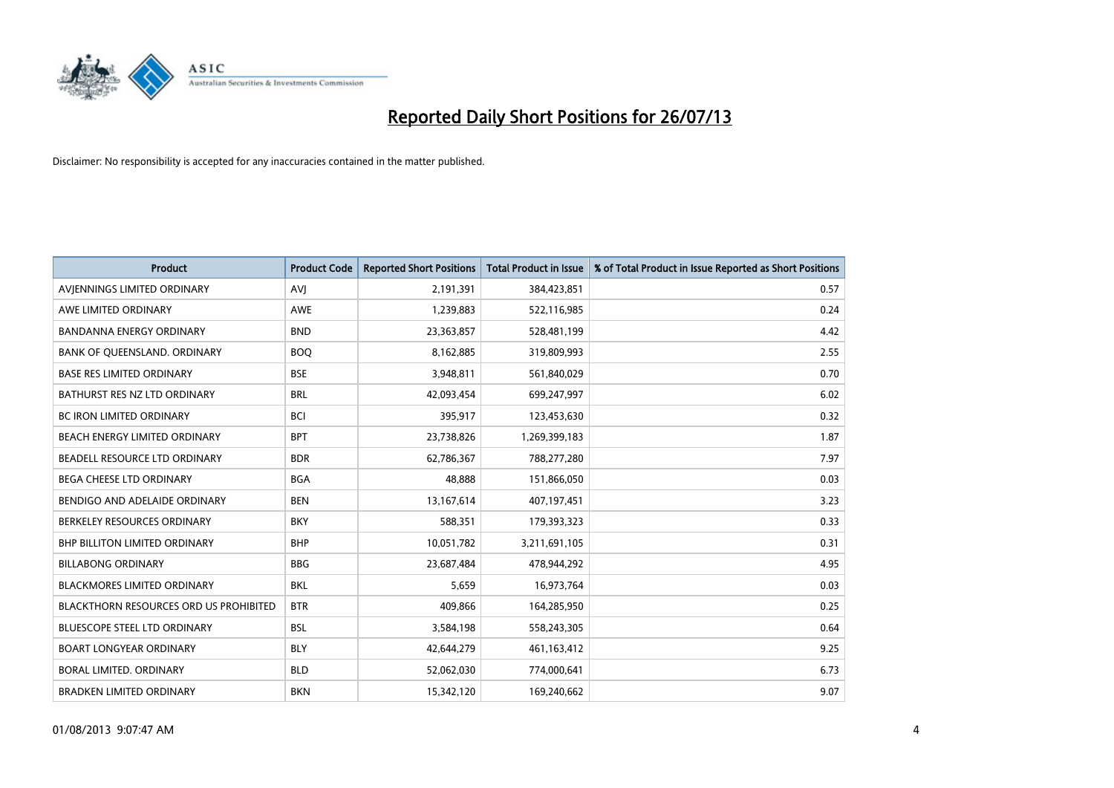

| <b>Product</b>                         | <b>Product Code</b> | <b>Reported Short Positions</b> | <b>Total Product in Issue</b> | % of Total Product in Issue Reported as Short Positions |
|----------------------------------------|---------------------|---------------------------------|-------------------------------|---------------------------------------------------------|
| AVIENNINGS LIMITED ORDINARY            | AVI                 | 2,191,391                       | 384,423,851                   | 0.57                                                    |
| AWE LIMITED ORDINARY                   | <b>AWE</b>          | 1,239,883                       | 522,116,985                   | 0.24                                                    |
| <b>BANDANNA ENERGY ORDINARY</b>        | <b>BND</b>          | 23,363,857                      | 528,481,199                   | 4.42                                                    |
| BANK OF QUEENSLAND. ORDINARY           | <b>BOQ</b>          | 8,162,885                       | 319,809,993                   | 2.55                                                    |
| <b>BASE RES LIMITED ORDINARY</b>       | <b>BSE</b>          | 3,948,811                       | 561,840,029                   | 0.70                                                    |
| BATHURST RES NZ LTD ORDINARY           | <b>BRL</b>          | 42,093,454                      | 699,247,997                   | 6.02                                                    |
| <b>BC IRON LIMITED ORDINARY</b>        | <b>BCI</b>          | 395,917                         | 123,453,630                   | 0.32                                                    |
| BEACH ENERGY LIMITED ORDINARY          | <b>BPT</b>          | 23,738,826                      | 1,269,399,183                 | 1.87                                                    |
| BEADELL RESOURCE LTD ORDINARY          | <b>BDR</b>          | 62,786,367                      | 788,277,280                   | 7.97                                                    |
| <b>BEGA CHEESE LTD ORDINARY</b>        | <b>BGA</b>          | 48,888                          | 151,866,050                   | 0.03                                                    |
| BENDIGO AND ADELAIDE ORDINARY          | <b>BEN</b>          | 13, 167, 614                    | 407,197,451                   | 3.23                                                    |
| BERKELEY RESOURCES ORDINARY            | <b>BKY</b>          | 588,351                         | 179,393,323                   | 0.33                                                    |
| BHP BILLITON LIMITED ORDINARY          | <b>BHP</b>          | 10,051,782                      | 3,211,691,105                 | 0.31                                                    |
| <b>BILLABONG ORDINARY</b>              | <b>BBG</b>          | 23,687,484                      | 478,944,292                   | 4.95                                                    |
| <b>BLACKMORES LIMITED ORDINARY</b>     | <b>BKL</b>          | 5,659                           | 16,973,764                    | 0.03                                                    |
| BLACKTHORN RESOURCES ORD US PROHIBITED | <b>BTR</b>          | 409,866                         | 164,285,950                   | 0.25                                                    |
| BLUESCOPE STEEL LTD ORDINARY           | <b>BSL</b>          | 3,584,198                       | 558,243,305                   | 0.64                                                    |
| <b>BOART LONGYEAR ORDINARY</b>         | <b>BLY</b>          | 42,644,279                      | 461, 163, 412                 | 9.25                                                    |
| BORAL LIMITED, ORDINARY                | <b>BLD</b>          | 52,062,030                      | 774,000,641                   | 6.73                                                    |
| <b>BRADKEN LIMITED ORDINARY</b>        | <b>BKN</b>          | 15,342,120                      | 169,240,662                   | 9.07                                                    |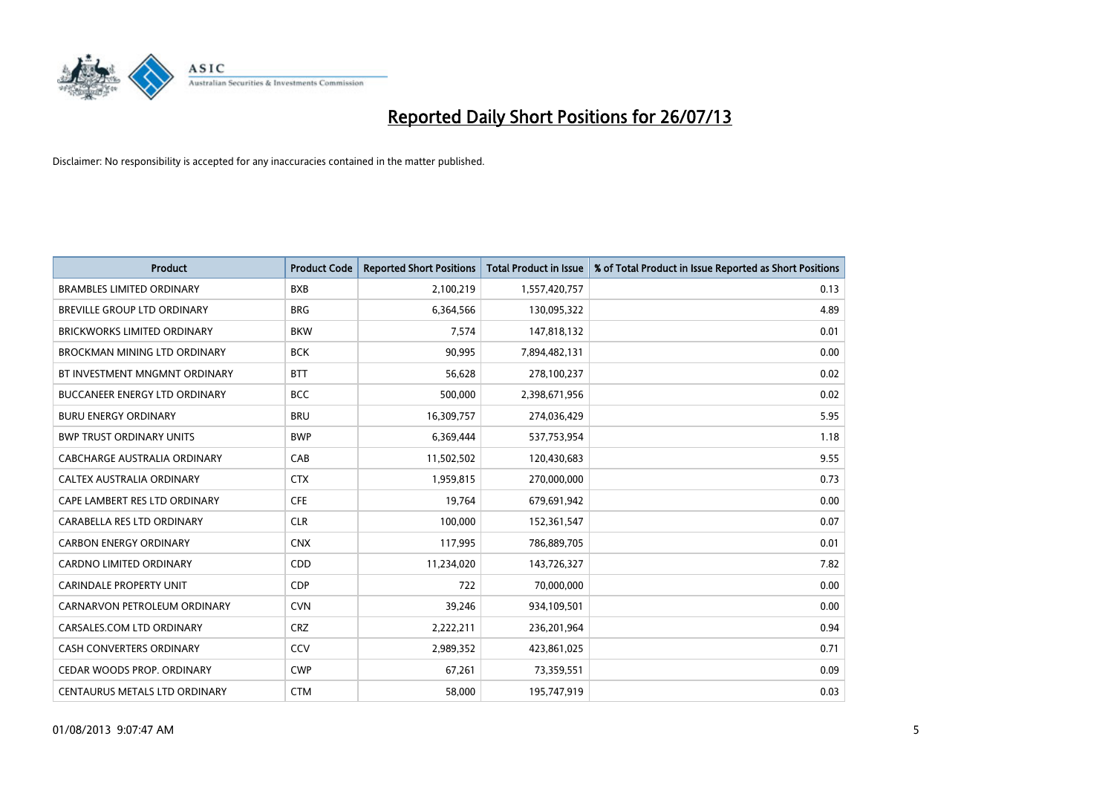

| <b>Product</b>                       | <b>Product Code</b> | <b>Reported Short Positions</b> | <b>Total Product in Issue</b> | % of Total Product in Issue Reported as Short Positions |
|--------------------------------------|---------------------|---------------------------------|-------------------------------|---------------------------------------------------------|
| <b>BRAMBLES LIMITED ORDINARY</b>     | <b>BXB</b>          | 2,100,219                       | 1,557,420,757                 | 0.13                                                    |
| <b>BREVILLE GROUP LTD ORDINARY</b>   | <b>BRG</b>          | 6,364,566                       | 130,095,322                   | 4.89                                                    |
| <b>BRICKWORKS LIMITED ORDINARY</b>   | <b>BKW</b>          | 7,574                           | 147,818,132                   | 0.01                                                    |
| BROCKMAN MINING LTD ORDINARY         | <b>BCK</b>          | 90,995                          | 7,894,482,131                 | 0.00                                                    |
| BT INVESTMENT MNGMNT ORDINARY        | <b>BTT</b>          | 56.628                          | 278,100,237                   | 0.02                                                    |
| <b>BUCCANEER ENERGY LTD ORDINARY</b> | <b>BCC</b>          | 500,000                         | 2,398,671,956                 | 0.02                                                    |
| <b>BURU ENERGY ORDINARY</b>          | <b>BRU</b>          | 16,309,757                      | 274,036,429                   | 5.95                                                    |
| <b>BWP TRUST ORDINARY UNITS</b>      | <b>BWP</b>          | 6,369,444                       | 537,753,954                   | 1.18                                                    |
| CABCHARGE AUSTRALIA ORDINARY         | CAB                 | 11,502,502                      | 120,430,683                   | 9.55                                                    |
| <b>CALTEX AUSTRALIA ORDINARY</b>     | <b>CTX</b>          | 1,959,815                       | 270,000,000                   | 0.73                                                    |
| CAPE LAMBERT RES LTD ORDINARY        | <b>CFE</b>          | 19,764                          | 679,691,942                   | 0.00                                                    |
| CARABELLA RES LTD ORDINARY           | <b>CLR</b>          | 100,000                         | 152,361,547                   | 0.07                                                    |
| <b>CARBON ENERGY ORDINARY</b>        | <b>CNX</b>          | 117,995                         | 786,889,705                   | 0.01                                                    |
| <b>CARDNO LIMITED ORDINARY</b>       | CDD                 | 11,234,020                      | 143,726,327                   | 7.82                                                    |
| <b>CARINDALE PROPERTY UNIT</b>       | <b>CDP</b>          | 722                             | 70,000,000                    | 0.00                                                    |
| CARNARVON PETROLEUM ORDINARY         | <b>CVN</b>          | 39,246                          | 934,109,501                   | 0.00                                                    |
| CARSALES.COM LTD ORDINARY            | <b>CRZ</b>          | 2,222,211                       | 236,201,964                   | 0.94                                                    |
| CASH CONVERTERS ORDINARY             | CCV                 | 2,989,352                       | 423,861,025                   | 0.71                                                    |
| CEDAR WOODS PROP. ORDINARY           | <b>CWP</b>          | 67,261                          | 73,359,551                    | 0.09                                                    |
| CENTAURUS METALS LTD ORDINARY        | <b>CTM</b>          | 58,000                          | 195,747,919                   | 0.03                                                    |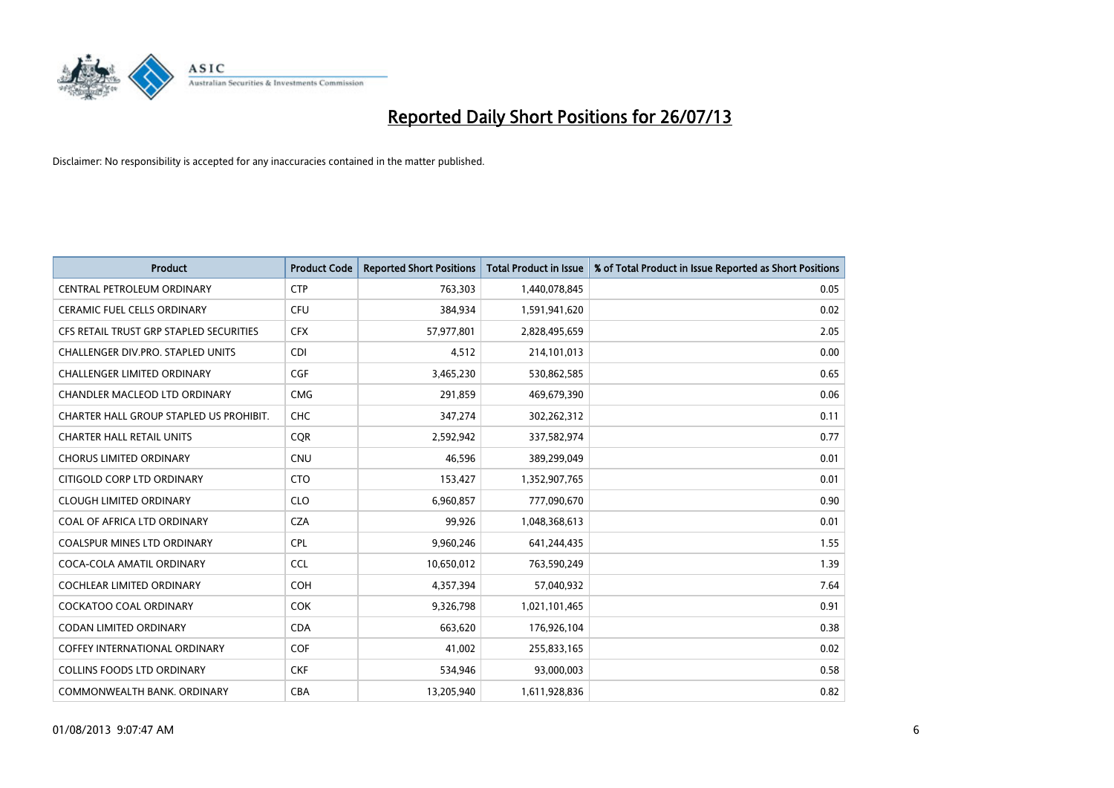

| <b>Product</b>                          | <b>Product Code</b> | <b>Reported Short Positions</b> | <b>Total Product in Issue</b> | % of Total Product in Issue Reported as Short Positions |
|-----------------------------------------|---------------------|---------------------------------|-------------------------------|---------------------------------------------------------|
| CENTRAL PETROLEUM ORDINARY              | <b>CTP</b>          | 763,303                         | 1,440,078,845                 | 0.05                                                    |
| CERAMIC FUEL CELLS ORDINARY             | <b>CFU</b>          | 384,934                         | 1,591,941,620                 | 0.02                                                    |
| CFS RETAIL TRUST GRP STAPLED SECURITIES | <b>CFX</b>          | 57,977,801                      | 2,828,495,659                 | 2.05                                                    |
| CHALLENGER DIV.PRO. STAPLED UNITS       | <b>CDI</b>          | 4,512                           | 214,101,013                   | 0.00                                                    |
| <b>CHALLENGER LIMITED ORDINARY</b>      | <b>CGF</b>          | 3,465,230                       | 530,862,585                   | 0.65                                                    |
| <b>CHANDLER MACLEOD LTD ORDINARY</b>    | <b>CMG</b>          | 291,859                         | 469,679,390                   | 0.06                                                    |
| CHARTER HALL GROUP STAPLED US PROHIBIT. | <b>CHC</b>          | 347,274                         | 302,262,312                   | 0.11                                                    |
| <b>CHARTER HALL RETAIL UNITS</b>        | <b>CQR</b>          | 2,592,942                       | 337,582,974                   | 0.77                                                    |
| <b>CHORUS LIMITED ORDINARY</b>          | <b>CNU</b>          | 46,596                          | 389,299,049                   | 0.01                                                    |
| CITIGOLD CORP LTD ORDINARY              | <b>CTO</b>          | 153,427                         | 1,352,907,765                 | 0.01                                                    |
| <b>CLOUGH LIMITED ORDINARY</b>          | <b>CLO</b>          | 6,960,857                       | 777,090,670                   | 0.90                                                    |
| COAL OF AFRICA LTD ORDINARY             | <b>CZA</b>          | 99,926                          | 1,048,368,613                 | 0.01                                                    |
| <b>COALSPUR MINES LTD ORDINARY</b>      | <b>CPL</b>          | 9,960,246                       | 641,244,435                   | 1.55                                                    |
| COCA-COLA AMATIL ORDINARY               | <b>CCL</b>          | 10,650,012                      | 763,590,249                   | 1.39                                                    |
| <b>COCHLEAR LIMITED ORDINARY</b>        | <b>COH</b>          | 4,357,394                       | 57,040,932                    | 7.64                                                    |
| COCKATOO COAL ORDINARY                  | <b>COK</b>          | 9,326,798                       | 1,021,101,465                 | 0.91                                                    |
| <b>CODAN LIMITED ORDINARY</b>           | <b>CDA</b>          | 663,620                         | 176,926,104                   | 0.38                                                    |
| <b>COFFEY INTERNATIONAL ORDINARY</b>    | <b>COF</b>          | 41,002                          | 255,833,165                   | 0.02                                                    |
| <b>COLLINS FOODS LTD ORDINARY</b>       | <b>CKF</b>          | 534,946                         | 93,000,003                    | 0.58                                                    |
| COMMONWEALTH BANK, ORDINARY             | CBA                 | 13.205.940                      | 1,611,928,836                 | 0.82                                                    |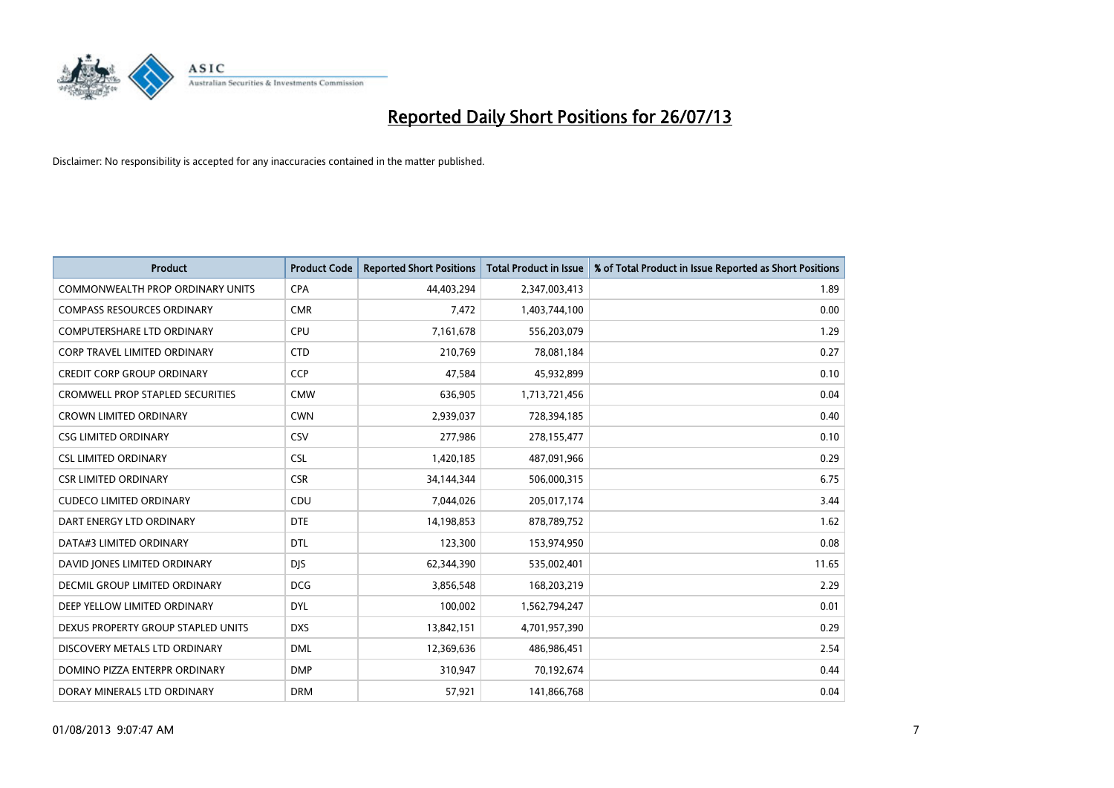

| <b>Product</b>                          | <b>Product Code</b> | <b>Reported Short Positions</b> | <b>Total Product in Issue</b> | % of Total Product in Issue Reported as Short Positions |
|-----------------------------------------|---------------------|---------------------------------|-------------------------------|---------------------------------------------------------|
| <b>COMMONWEALTH PROP ORDINARY UNITS</b> | <b>CPA</b>          | 44,403,294                      | 2,347,003,413                 | 1.89                                                    |
| <b>COMPASS RESOURCES ORDINARY</b>       | <b>CMR</b>          | 7,472                           | 1,403,744,100                 | 0.00                                                    |
| <b>COMPUTERSHARE LTD ORDINARY</b>       | <b>CPU</b>          | 7,161,678                       | 556,203,079                   | 1.29                                                    |
| CORP TRAVEL LIMITED ORDINARY            | <b>CTD</b>          | 210,769                         | 78,081,184                    | 0.27                                                    |
| <b>CREDIT CORP GROUP ORDINARY</b>       | CCP                 | 47,584                          | 45,932,899                    | 0.10                                                    |
| <b>CROMWELL PROP STAPLED SECURITIES</b> | <b>CMW</b>          | 636,905                         | 1,713,721,456                 | 0.04                                                    |
| <b>CROWN LIMITED ORDINARY</b>           | <b>CWN</b>          | 2,939,037                       | 728,394,185                   | 0.40                                                    |
| <b>CSG LIMITED ORDINARY</b>             | CSV                 | 277,986                         | 278,155,477                   | 0.10                                                    |
| <b>CSL LIMITED ORDINARY</b>             | <b>CSL</b>          | 1,420,185                       | 487,091,966                   | 0.29                                                    |
| <b>CSR LIMITED ORDINARY</b>             | <b>CSR</b>          | 34,144,344                      | 506,000,315                   | 6.75                                                    |
| <b>CUDECO LIMITED ORDINARY</b>          | CDU                 | 7,044,026                       | 205,017,174                   | 3.44                                                    |
| DART ENERGY LTD ORDINARY                | <b>DTE</b>          | 14,198,853                      | 878,789,752                   | 1.62                                                    |
| DATA#3 LIMITED ORDINARY                 | <b>DTL</b>          | 123,300                         | 153,974,950                   | 0.08                                                    |
| DAVID JONES LIMITED ORDINARY            | <b>DIS</b>          | 62,344,390                      | 535,002,401                   | 11.65                                                   |
| DECMIL GROUP LIMITED ORDINARY           | <b>DCG</b>          | 3,856,548                       | 168,203,219                   | 2.29                                                    |
| DEEP YELLOW LIMITED ORDINARY            | <b>DYL</b>          | 100,002                         | 1,562,794,247                 | 0.01                                                    |
| DEXUS PROPERTY GROUP STAPLED UNITS      | <b>DXS</b>          | 13,842,151                      | 4,701,957,390                 | 0.29                                                    |
| DISCOVERY METALS LTD ORDINARY           | <b>DML</b>          | 12,369,636                      | 486,986,451                   | 2.54                                                    |
| DOMINO PIZZA ENTERPR ORDINARY           | <b>DMP</b>          | 310,947                         | 70,192,674                    | 0.44                                                    |
| DORAY MINERALS LTD ORDINARY             | <b>DRM</b>          | 57,921                          | 141,866,768                   | 0.04                                                    |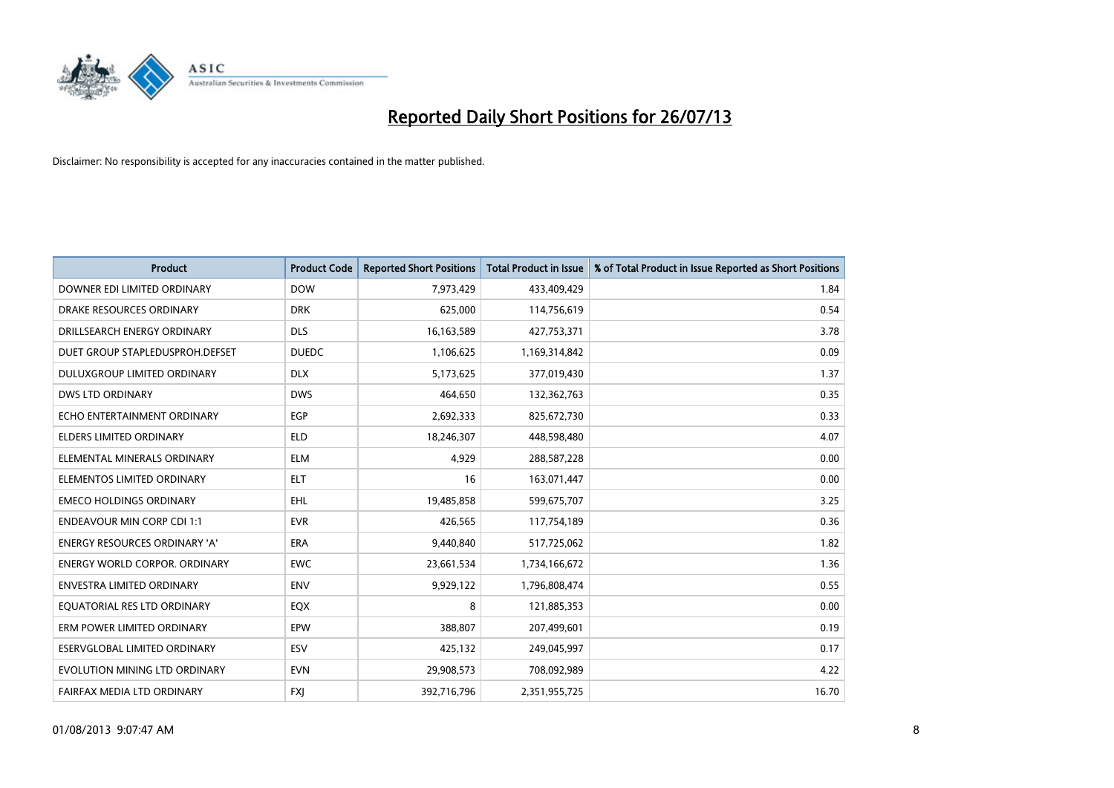

| <b>Product</b>                       | <b>Product Code</b> | <b>Reported Short Positions</b> | <b>Total Product in Issue</b> | % of Total Product in Issue Reported as Short Positions |
|--------------------------------------|---------------------|---------------------------------|-------------------------------|---------------------------------------------------------|
| DOWNER EDI LIMITED ORDINARY          | <b>DOW</b>          | 7,973,429                       | 433,409,429                   | 1.84                                                    |
| DRAKE RESOURCES ORDINARY             | <b>DRK</b>          | 625,000                         | 114,756,619                   | 0.54                                                    |
| DRILLSEARCH ENERGY ORDINARY          | <b>DLS</b>          | 16,163,589                      | 427,753,371                   | 3.78                                                    |
| DUET GROUP STAPLEDUSPROH.DEFSET      | <b>DUEDC</b>        | 1,106,625                       | 1,169,314,842                 | 0.09                                                    |
| DULUXGROUP LIMITED ORDINARY          | <b>DLX</b>          | 5,173,625                       | 377,019,430                   | 1.37                                                    |
| <b>DWS LTD ORDINARY</b>              | <b>DWS</b>          | 464.650                         | 132,362,763                   | 0.35                                                    |
| ECHO ENTERTAINMENT ORDINARY          | <b>EGP</b>          | 2,692,333                       | 825,672,730                   | 0.33                                                    |
| <b>ELDERS LIMITED ORDINARY</b>       | <b>ELD</b>          | 18,246,307                      | 448,598,480                   | 4.07                                                    |
| ELEMENTAL MINERALS ORDINARY          | <b>ELM</b>          | 4,929                           | 288,587,228                   | 0.00                                                    |
| ELEMENTOS LIMITED ORDINARY           | <b>ELT</b>          | 16                              | 163,071,447                   | 0.00                                                    |
| <b>EMECO HOLDINGS ORDINARY</b>       | <b>EHL</b>          | 19,485,858                      | 599,675,707                   | 3.25                                                    |
| <b>ENDEAVOUR MIN CORP CDI 1:1</b>    | <b>EVR</b>          | 426,565                         | 117,754,189                   | 0.36                                                    |
| <b>ENERGY RESOURCES ORDINARY 'A'</b> | ERA                 | 9,440,840                       | 517,725,062                   | 1.82                                                    |
| <b>ENERGY WORLD CORPOR, ORDINARY</b> | <b>EWC</b>          | 23,661,534                      | 1,734,166,672                 | 1.36                                                    |
| <b>ENVESTRA LIMITED ORDINARY</b>     | <b>ENV</b>          | 9,929,122                       | 1,796,808,474                 | 0.55                                                    |
| EQUATORIAL RES LTD ORDINARY          | EQX                 | 8                               | 121,885,353                   | 0.00                                                    |
| ERM POWER LIMITED ORDINARY           | EPW                 | 388,807                         | 207,499,601                   | 0.19                                                    |
| <b>ESERVGLOBAL LIMITED ORDINARY</b>  | ESV                 | 425,132                         | 249,045,997                   | 0.17                                                    |
| EVOLUTION MINING LTD ORDINARY        | <b>EVN</b>          | 29,908,573                      | 708,092,989                   | 4.22                                                    |
| FAIRFAX MEDIA LTD ORDINARY           | <b>FXI</b>          | 392,716,796                     | 2,351,955,725                 | 16.70                                                   |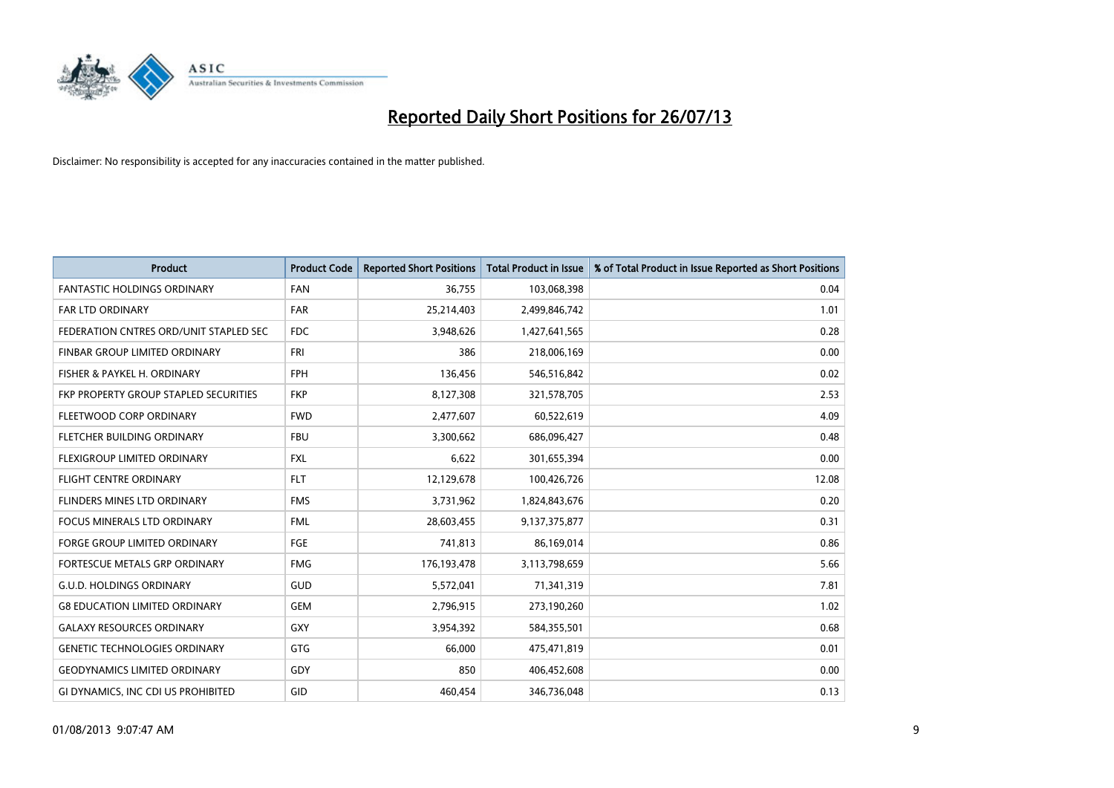

| <b>Product</b>                               | <b>Product Code</b> | <b>Reported Short Positions</b> | <b>Total Product in Issue</b> | % of Total Product in Issue Reported as Short Positions |
|----------------------------------------------|---------------------|---------------------------------|-------------------------------|---------------------------------------------------------|
| <b>FANTASTIC HOLDINGS ORDINARY</b>           | <b>FAN</b>          | 36,755                          | 103,068,398                   | 0.04                                                    |
| FAR LTD ORDINARY                             | <b>FAR</b>          | 25,214,403                      | 2,499,846,742                 | 1.01                                                    |
| FEDERATION CNTRES ORD/UNIT STAPLED SEC       | <b>FDC</b>          | 3,948,626                       | 1,427,641,565                 | 0.28                                                    |
| FINBAR GROUP LIMITED ORDINARY                | <b>FRI</b>          | 386                             | 218,006,169                   | 0.00                                                    |
| FISHER & PAYKEL H. ORDINARY                  | <b>FPH</b>          | 136,456                         | 546,516,842                   | 0.02                                                    |
| <b>FKP PROPERTY GROUP STAPLED SECURITIES</b> | <b>FKP</b>          | 8,127,308                       | 321,578,705                   | 2.53                                                    |
| FLEETWOOD CORP ORDINARY                      | <b>FWD</b>          | 2,477,607                       | 60,522,619                    | 4.09                                                    |
| FLETCHER BUILDING ORDINARY                   | <b>FBU</b>          | 3,300,662                       | 686,096,427                   | 0.48                                                    |
| FLEXIGROUP LIMITED ORDINARY                  | <b>FXL</b>          | 6,622                           | 301,655,394                   | 0.00                                                    |
| <b>FLIGHT CENTRE ORDINARY</b>                | <b>FLT</b>          | 12,129,678                      | 100,426,726                   | 12.08                                                   |
| FLINDERS MINES LTD ORDINARY                  | <b>FMS</b>          | 3,731,962                       | 1,824,843,676                 | 0.20                                                    |
| <b>FOCUS MINERALS LTD ORDINARY</b>           | <b>FML</b>          | 28,603,455                      | 9,137,375,877                 | 0.31                                                    |
| <b>FORGE GROUP LIMITED ORDINARY</b>          | FGE                 | 741,813                         | 86,169,014                    | 0.86                                                    |
| <b>FORTESCUE METALS GRP ORDINARY</b>         | <b>FMG</b>          | 176, 193, 478                   | 3,113,798,659                 | 5.66                                                    |
| <b>G.U.D. HOLDINGS ORDINARY</b>              | <b>GUD</b>          | 5,572,041                       | 71,341,319                    | 7.81                                                    |
| <b>G8 EDUCATION LIMITED ORDINARY</b>         | GEM                 | 2,796,915                       | 273,190,260                   | 1.02                                                    |
| <b>GALAXY RESOURCES ORDINARY</b>             | GXY                 | 3,954,392                       | 584,355,501                   | 0.68                                                    |
| <b>GENETIC TECHNOLOGIES ORDINARY</b>         | GTG                 | 66,000                          | 475,471,819                   | 0.01                                                    |
| <b>GEODYNAMICS LIMITED ORDINARY</b>          | <b>GDY</b>          | 850                             | 406,452,608                   | 0.00                                                    |
| GI DYNAMICS, INC CDI US PROHIBITED           | GID                 | 460,454                         | 346,736,048                   | 0.13                                                    |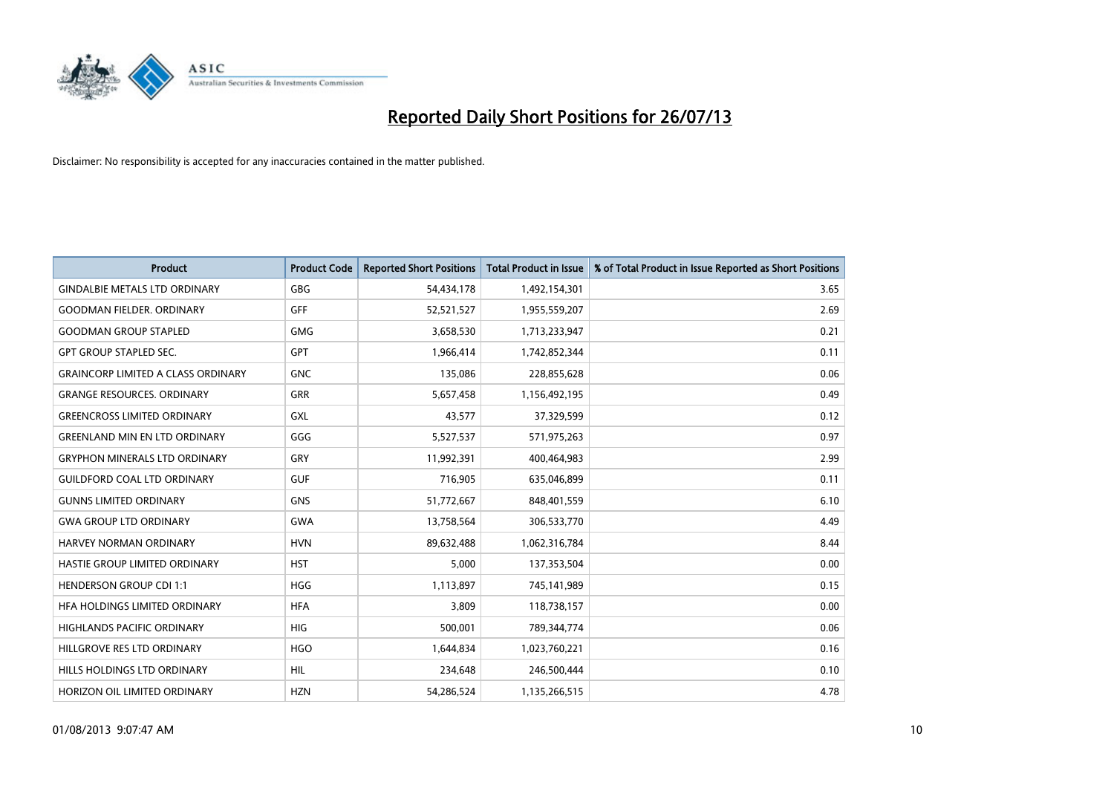

| <b>Product</b>                            | <b>Product Code</b> | <b>Reported Short Positions</b> | <b>Total Product in Issue</b> | % of Total Product in Issue Reported as Short Positions |
|-------------------------------------------|---------------------|---------------------------------|-------------------------------|---------------------------------------------------------|
| <b>GINDALBIE METALS LTD ORDINARY</b>      | GBG                 | 54,434,178                      | 1,492,154,301                 | 3.65                                                    |
| <b>GOODMAN FIELDER. ORDINARY</b>          | <b>GFF</b>          | 52,521,527                      | 1,955,559,207                 | 2.69                                                    |
| <b>GOODMAN GROUP STAPLED</b>              | <b>GMG</b>          | 3,658,530                       | 1,713,233,947                 | 0.21                                                    |
| <b>GPT GROUP STAPLED SEC.</b>             | <b>GPT</b>          | 1,966,414                       | 1,742,852,344                 | 0.11                                                    |
| <b>GRAINCORP LIMITED A CLASS ORDINARY</b> | <b>GNC</b>          | 135,086                         | 228,855,628                   | 0.06                                                    |
| <b>GRANGE RESOURCES. ORDINARY</b>         | <b>GRR</b>          | 5,657,458                       | 1,156,492,195                 | 0.49                                                    |
| <b>GREENCROSS LIMITED ORDINARY</b>        | GXL                 | 43,577                          | 37,329,599                    | 0.12                                                    |
| <b>GREENLAND MIN EN LTD ORDINARY</b>      | GGG                 | 5,527,537                       | 571,975,263                   | 0.97                                                    |
| <b>GRYPHON MINERALS LTD ORDINARY</b>      | GRY                 | 11,992,391                      | 400,464,983                   | 2.99                                                    |
| <b>GUILDFORD COAL LTD ORDINARY</b>        | <b>GUF</b>          | 716,905                         | 635,046,899                   | 0.11                                                    |
| <b>GUNNS LIMITED ORDINARY</b>             | <b>GNS</b>          | 51,772,667                      | 848,401,559                   | 6.10                                                    |
| <b>GWA GROUP LTD ORDINARY</b>             | <b>GWA</b>          | 13,758,564                      | 306,533,770                   | 4.49                                                    |
| <b>HARVEY NORMAN ORDINARY</b>             | <b>HVN</b>          | 89,632,488                      | 1,062,316,784                 | 8.44                                                    |
| HASTIE GROUP LIMITED ORDINARY             | <b>HST</b>          | 5,000                           | 137,353,504                   | 0.00                                                    |
| <b>HENDERSON GROUP CDI 1:1</b>            | <b>HGG</b>          | 1,113,897                       | 745,141,989                   | 0.15                                                    |
| HFA HOLDINGS LIMITED ORDINARY             | <b>HFA</b>          | 3,809                           | 118,738,157                   | 0.00                                                    |
| <b>HIGHLANDS PACIFIC ORDINARY</b>         | <b>HIG</b>          | 500,001                         | 789,344,774                   | 0.06                                                    |
| HILLGROVE RES LTD ORDINARY                | <b>HGO</b>          | 1,644,834                       | 1,023,760,221                 | 0.16                                                    |
| HILLS HOLDINGS LTD ORDINARY               | <b>HIL</b>          | 234,648                         | 246,500,444                   | 0.10                                                    |
| HORIZON OIL LIMITED ORDINARY              | <b>HZN</b>          | 54.286.524                      | 1,135,266,515                 | 4.78                                                    |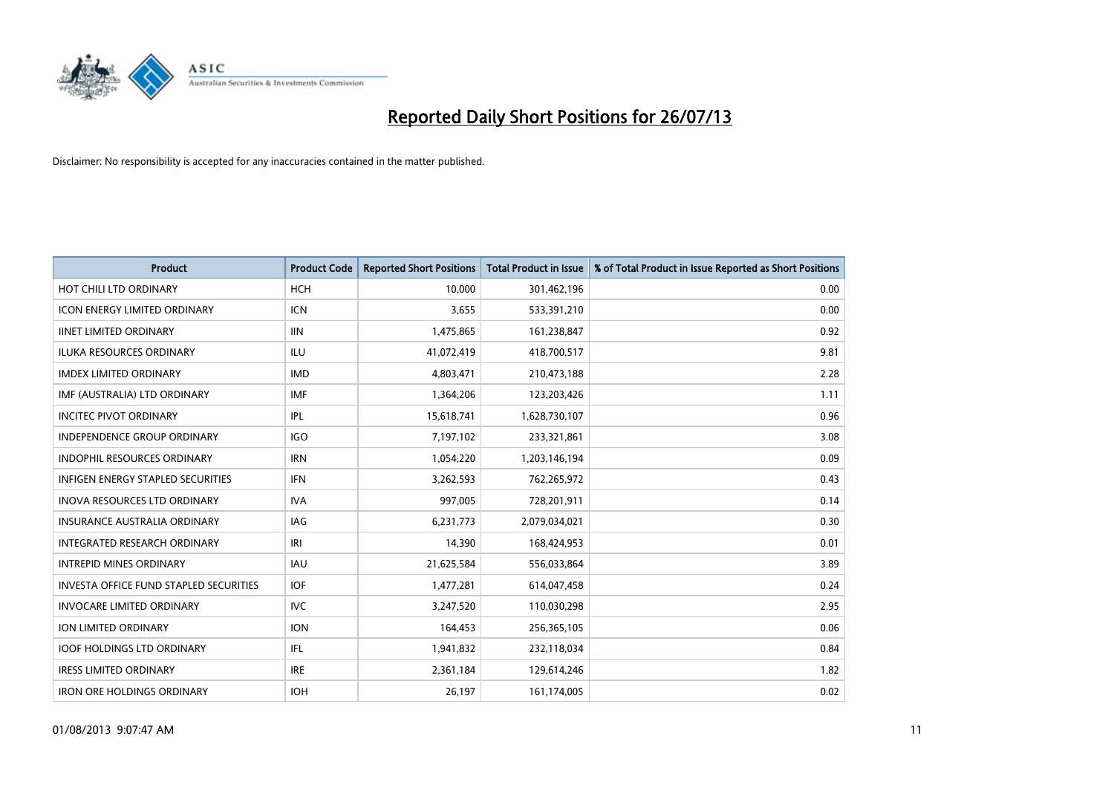

| <b>Product</b>                                | <b>Product Code</b> | <b>Reported Short Positions</b> | <b>Total Product in Issue</b> | % of Total Product in Issue Reported as Short Positions |
|-----------------------------------------------|---------------------|---------------------------------|-------------------------------|---------------------------------------------------------|
| HOT CHILI LTD ORDINARY                        | <b>HCH</b>          | 10.000                          | 301,462,196                   | 0.00                                                    |
| <b>ICON ENERGY LIMITED ORDINARY</b>           | <b>ICN</b>          | 3,655                           | 533,391,210                   | 0.00                                                    |
| <b>IINET LIMITED ORDINARY</b>                 | <b>IIN</b>          | 1,475,865                       | 161,238,847                   | 0.92                                                    |
| ILUKA RESOURCES ORDINARY                      | ILU                 | 41,072,419                      | 418,700,517                   | 9.81                                                    |
| <b>IMDEX LIMITED ORDINARY</b>                 | <b>IMD</b>          | 4,803,471                       | 210,473,188                   | 2.28                                                    |
| IMF (AUSTRALIA) LTD ORDINARY                  | <b>IMF</b>          | 1,364,206                       | 123,203,426                   | 1.11                                                    |
| <b>INCITEC PIVOT ORDINARY</b>                 | IPL                 | 15,618,741                      | 1,628,730,107                 | 0.96                                                    |
| <b>INDEPENDENCE GROUP ORDINARY</b>            | <b>IGO</b>          | 7,197,102                       | 233,321,861                   | 3.08                                                    |
| <b>INDOPHIL RESOURCES ORDINARY</b>            | <b>IRN</b>          | 1,054,220                       | 1,203,146,194                 | 0.09                                                    |
| <b>INFIGEN ENERGY STAPLED SECURITIES</b>      | <b>IFN</b>          | 3,262,593                       | 762,265,972                   | 0.43                                                    |
| INOVA RESOURCES LTD ORDINARY                  | <b>IVA</b>          | 997,005                         | 728,201,911                   | 0.14                                                    |
| <b>INSURANCE AUSTRALIA ORDINARY</b>           | IAG                 | 6,231,773                       | 2,079,034,021                 | 0.30                                                    |
| <b>INTEGRATED RESEARCH ORDINARY</b>           | IRI                 | 14,390                          | 168,424,953                   | 0.01                                                    |
| <b>INTREPID MINES ORDINARY</b>                | <b>IAU</b>          | 21,625,584                      | 556,033,864                   | 3.89                                                    |
| <b>INVESTA OFFICE FUND STAPLED SECURITIES</b> | <b>IOF</b>          | 1,477,281                       | 614,047,458                   | 0.24                                                    |
| <b>INVOCARE LIMITED ORDINARY</b>              | <b>IVC</b>          | 3,247,520                       | 110,030,298                   | 2.95                                                    |
| <b>ION LIMITED ORDINARY</b>                   | <b>ION</b>          | 164,453                         | 256,365,105                   | 0.06                                                    |
| <b>IOOF HOLDINGS LTD ORDINARY</b>             | <b>IFL</b>          | 1,941,832                       | 232,118,034                   | 0.84                                                    |
| <b>IRESS LIMITED ORDINARY</b>                 | <b>IRE</b>          | 2,361,184                       | 129,614,246                   | 1.82                                                    |
| <b>IRON ORE HOLDINGS ORDINARY</b>             | <b>IOH</b>          | 26,197                          | 161,174,005                   | 0.02                                                    |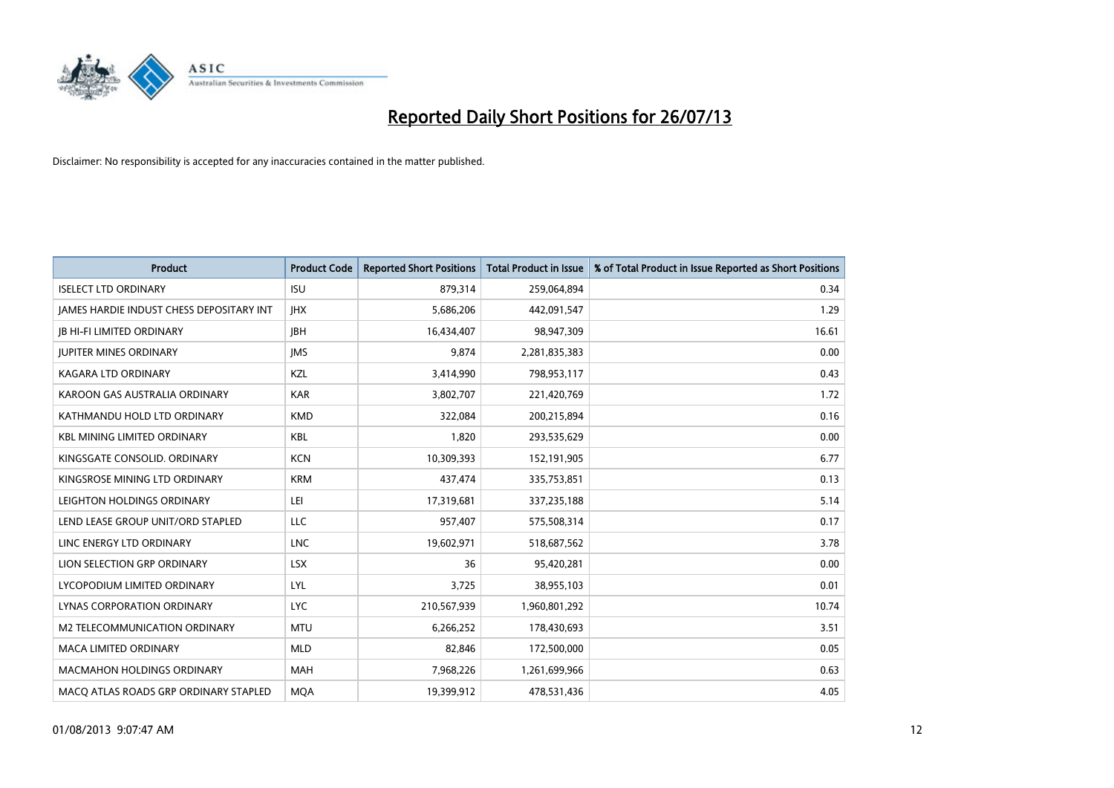

| <b>Product</b>                           | <b>Product Code</b> | <b>Reported Short Positions</b> | <b>Total Product in Issue</b> | % of Total Product in Issue Reported as Short Positions |
|------------------------------------------|---------------------|---------------------------------|-------------------------------|---------------------------------------------------------|
| <b>ISELECT LTD ORDINARY</b>              | <b>ISU</b>          | 879,314                         | 259,064,894                   | 0.34                                                    |
| JAMES HARDIE INDUST CHESS DEPOSITARY INT | <b>IHX</b>          | 5,686,206                       | 442,091,547                   | 1.29                                                    |
| <b>JB HI-FI LIMITED ORDINARY</b>         | <b>IBH</b>          | 16,434,407                      | 98,947,309                    | 16.61                                                   |
| <b>JUPITER MINES ORDINARY</b>            | <b>IMS</b>          | 9,874                           | 2,281,835,383                 | 0.00                                                    |
| <b>KAGARA LTD ORDINARY</b>               | KZL                 | 3,414,990                       | 798,953,117                   | 0.43                                                    |
| KAROON GAS AUSTRALIA ORDINARY            | <b>KAR</b>          | 3,802,707                       | 221,420,769                   | 1.72                                                    |
| KATHMANDU HOLD LTD ORDINARY              | <b>KMD</b>          | 322.084                         | 200,215,894                   | 0.16                                                    |
| KBL MINING LIMITED ORDINARY              | <b>KBL</b>          | 1,820                           | 293,535,629                   | 0.00                                                    |
| KINGSGATE CONSOLID. ORDINARY             | <b>KCN</b>          | 10,309,393                      | 152,191,905                   | 6.77                                                    |
| KINGSROSE MINING LTD ORDINARY            | <b>KRM</b>          | 437,474                         | 335,753,851                   | 0.13                                                    |
| LEIGHTON HOLDINGS ORDINARY               | LEI                 | 17,319,681                      | 337,235,188                   | 5.14                                                    |
| LEND LEASE GROUP UNIT/ORD STAPLED        | LLC                 | 957,407                         | 575,508,314                   | 0.17                                                    |
| LINC ENERGY LTD ORDINARY                 | LNC                 | 19,602,971                      | 518,687,562                   | 3.78                                                    |
| LION SELECTION GRP ORDINARY              | <b>LSX</b>          | 36                              | 95,420,281                    | 0.00                                                    |
| LYCOPODIUM LIMITED ORDINARY              | LYL                 | 3,725                           | 38,955,103                    | 0.01                                                    |
| LYNAS CORPORATION ORDINARY               | LYC.                | 210,567,939                     | 1,960,801,292                 | 10.74                                                   |
| M2 TELECOMMUNICATION ORDINARY            | <b>MTU</b>          | 6,266,252                       | 178,430,693                   | 3.51                                                    |
| <b>MACA LIMITED ORDINARY</b>             | <b>MLD</b>          | 82,846                          | 172,500,000                   | 0.05                                                    |
| <b>MACMAHON HOLDINGS ORDINARY</b>        | <b>MAH</b>          | 7,968,226                       | 1,261,699,966                 | 0.63                                                    |
| MACO ATLAS ROADS GRP ORDINARY STAPLED    | <b>MOA</b>          | 19,399,912                      | 478,531,436                   | 4.05                                                    |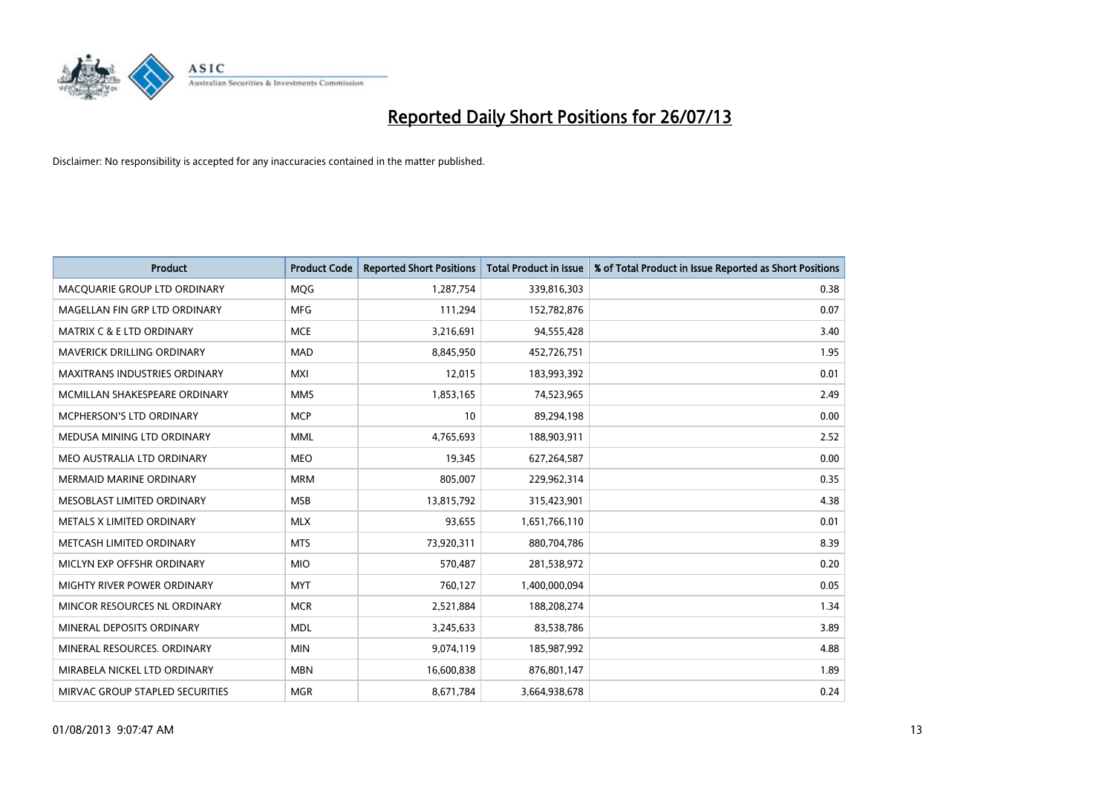

| <b>Product</b>                       | <b>Product Code</b> | <b>Reported Short Positions</b> | <b>Total Product in Issue</b> | % of Total Product in Issue Reported as Short Positions |
|--------------------------------------|---------------------|---------------------------------|-------------------------------|---------------------------------------------------------|
| MACQUARIE GROUP LTD ORDINARY         | <b>MOG</b>          | 1,287,754                       | 339,816,303                   | 0.38                                                    |
| MAGELLAN FIN GRP LTD ORDINARY        | <b>MFG</b>          | 111,294                         | 152,782,876                   | 0.07                                                    |
| <b>MATRIX C &amp; E LTD ORDINARY</b> | <b>MCE</b>          | 3,216,691                       | 94,555,428                    | 3.40                                                    |
| MAVERICK DRILLING ORDINARY           | <b>MAD</b>          | 8,845,950                       | 452,726,751                   | 1.95                                                    |
| <b>MAXITRANS INDUSTRIES ORDINARY</b> | <b>MXI</b>          | 12,015                          | 183,993,392                   | 0.01                                                    |
| MCMILLAN SHAKESPEARE ORDINARY        | <b>MMS</b>          | 1,853,165                       | 74,523,965                    | 2.49                                                    |
| MCPHERSON'S LTD ORDINARY             | <b>MCP</b>          | 10                              | 89,294,198                    | 0.00                                                    |
| MEDUSA MINING LTD ORDINARY           | <b>MML</b>          | 4,765,693                       | 188,903,911                   | 2.52                                                    |
| MEO AUSTRALIA LTD ORDINARY           | <b>MEO</b>          | 19,345                          | 627,264,587                   | 0.00                                                    |
| <b>MERMAID MARINE ORDINARY</b>       | <b>MRM</b>          | 805,007                         | 229,962,314                   | 0.35                                                    |
| MESOBLAST LIMITED ORDINARY           | <b>MSB</b>          | 13,815,792                      | 315,423,901                   | 4.38                                                    |
| METALS X LIMITED ORDINARY            | <b>MLX</b>          | 93,655                          | 1,651,766,110                 | 0.01                                                    |
| METCASH LIMITED ORDINARY             | <b>MTS</b>          | 73,920,311                      | 880,704,786                   | 8.39                                                    |
| MICLYN EXP OFFSHR ORDINARY           | <b>MIO</b>          | 570,487                         | 281,538,972                   | 0.20                                                    |
| <b>MIGHTY RIVER POWER ORDINARY</b>   | <b>MYT</b>          | 760,127                         | 1,400,000,094                 | 0.05                                                    |
| MINCOR RESOURCES NL ORDINARY         | <b>MCR</b>          | 2,521,884                       | 188,208,274                   | 1.34                                                    |
| MINERAL DEPOSITS ORDINARY            | <b>MDL</b>          | 3,245,633                       | 83,538,786                    | 3.89                                                    |
| MINERAL RESOURCES. ORDINARY          | <b>MIN</b>          | 9,074,119                       | 185,987,992                   | 4.88                                                    |
| MIRABELA NICKEL LTD ORDINARY         | <b>MBN</b>          | 16,600,838                      | 876,801,147                   | 1.89                                                    |
| MIRVAC GROUP STAPLED SECURITIES      | <b>MGR</b>          | 8,671,784                       | 3,664,938,678                 | 0.24                                                    |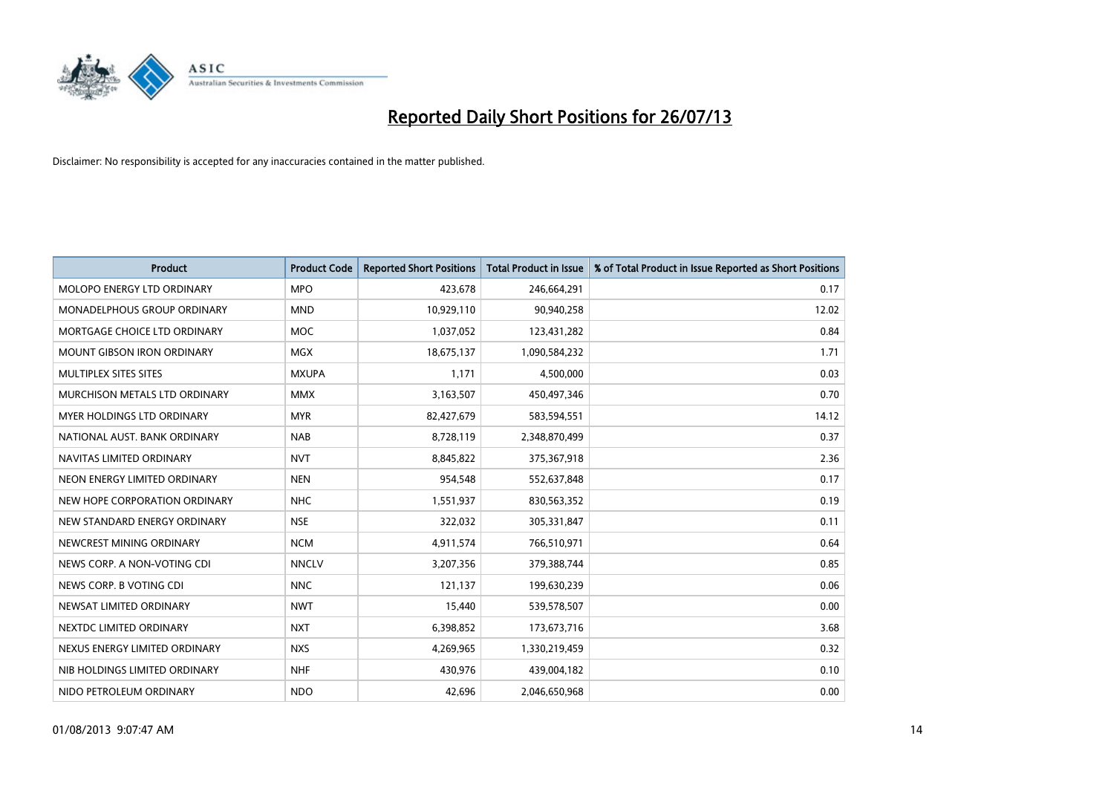

| <b>Product</b>                    | <b>Product Code</b> | <b>Reported Short Positions</b> | <b>Total Product in Issue</b> | % of Total Product in Issue Reported as Short Positions |
|-----------------------------------|---------------------|---------------------------------|-------------------------------|---------------------------------------------------------|
| MOLOPO ENERGY LTD ORDINARY        | <b>MPO</b>          | 423,678                         | 246,664,291                   | 0.17                                                    |
| MONADELPHOUS GROUP ORDINARY       | <b>MND</b>          | 10,929,110                      | 90,940,258                    | 12.02                                                   |
| MORTGAGE CHOICE LTD ORDINARY      | <b>MOC</b>          | 1,037,052                       | 123,431,282                   | 0.84                                                    |
| MOUNT GIBSON IRON ORDINARY        | <b>MGX</b>          | 18,675,137                      | 1,090,584,232                 | 1.71                                                    |
| MULTIPLEX SITES SITES             | <b>MXUPA</b>        | 1,171                           | 4,500,000                     | 0.03                                                    |
| MURCHISON METALS LTD ORDINARY     | <b>MMX</b>          | 3,163,507                       | 450,497,346                   | 0.70                                                    |
| <b>MYER HOLDINGS LTD ORDINARY</b> | <b>MYR</b>          | 82,427,679                      | 583,594,551                   | 14.12                                                   |
| NATIONAL AUST. BANK ORDINARY      | <b>NAB</b>          | 8,728,119                       | 2,348,870,499                 | 0.37                                                    |
| NAVITAS LIMITED ORDINARY          | <b>NVT</b>          | 8,845,822                       | 375,367,918                   | 2.36                                                    |
| NEON ENERGY LIMITED ORDINARY      | <b>NEN</b>          | 954,548                         | 552,637,848                   | 0.17                                                    |
| NEW HOPE CORPORATION ORDINARY     | <b>NHC</b>          | 1,551,937                       | 830,563,352                   | 0.19                                                    |
| NEW STANDARD ENERGY ORDINARY      | <b>NSE</b>          | 322,032                         | 305,331,847                   | 0.11                                                    |
| NEWCREST MINING ORDINARY          | <b>NCM</b>          | 4,911,574                       | 766,510,971                   | 0.64                                                    |
| NEWS CORP. A NON-VOTING CDI       | <b>NNCLV</b>        | 3,207,356                       | 379,388,744                   | 0.85                                                    |
| NEWS CORP. B VOTING CDI           | <b>NNC</b>          | 121,137                         | 199,630,239                   | 0.06                                                    |
| NEWSAT LIMITED ORDINARY           | <b>NWT</b>          | 15,440                          | 539,578,507                   | 0.00                                                    |
| NEXTDC LIMITED ORDINARY           | <b>NXT</b>          | 6,398,852                       | 173,673,716                   | 3.68                                                    |
| NEXUS ENERGY LIMITED ORDINARY     | <b>NXS</b>          | 4,269,965                       | 1,330,219,459                 | 0.32                                                    |
| NIB HOLDINGS LIMITED ORDINARY     | <b>NHF</b>          | 430,976                         | 439,004,182                   | 0.10                                                    |
| NIDO PETROLEUM ORDINARY           | <b>NDO</b>          | 42,696                          | 2,046,650,968                 | 0.00                                                    |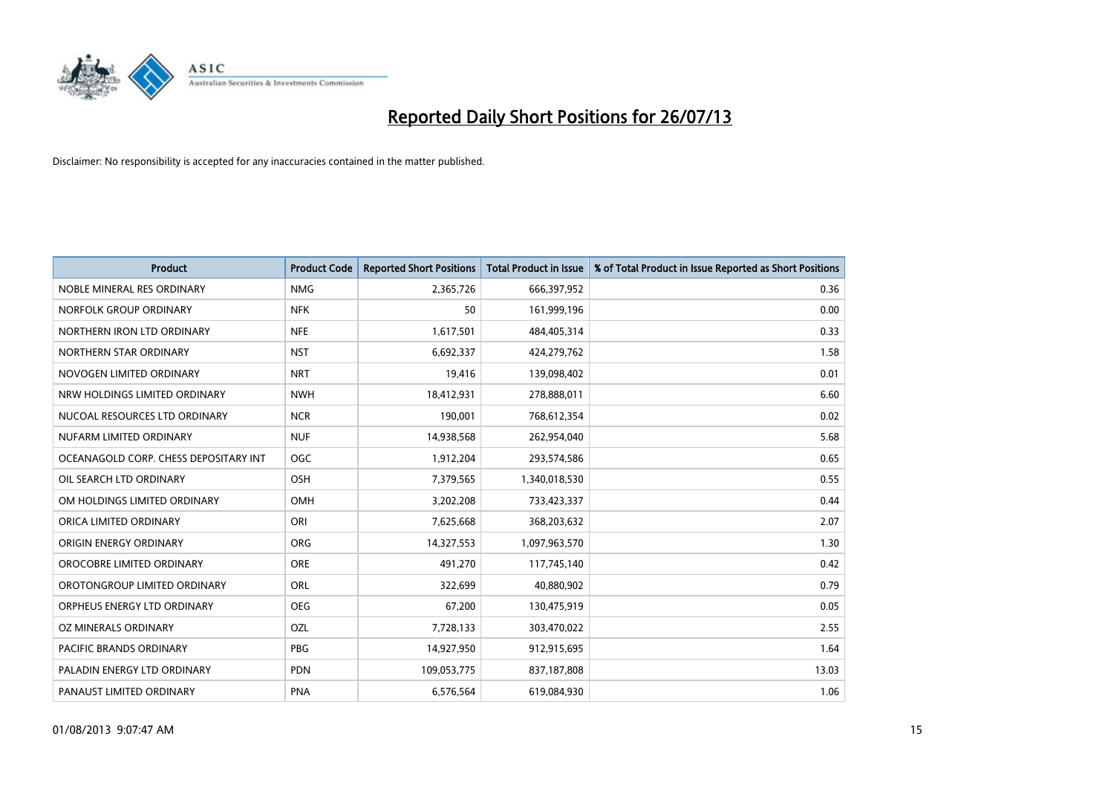

| <b>Product</b>                        | <b>Product Code</b> | <b>Reported Short Positions</b> | <b>Total Product in Issue</b> | % of Total Product in Issue Reported as Short Positions |
|---------------------------------------|---------------------|---------------------------------|-------------------------------|---------------------------------------------------------|
| NOBLE MINERAL RES ORDINARY            | <b>NMG</b>          | 2,365,726                       | 666,397,952                   | 0.36                                                    |
| NORFOLK GROUP ORDINARY                | <b>NFK</b>          | 50                              | 161,999,196                   | 0.00                                                    |
| NORTHERN IRON LTD ORDINARY            | <b>NFE</b>          | 1,617,501                       | 484,405,314                   | 0.33                                                    |
| NORTHERN STAR ORDINARY                | <b>NST</b>          | 6,692,337                       | 424,279,762                   | 1.58                                                    |
| NOVOGEN LIMITED ORDINARY              | <b>NRT</b>          | 19,416                          | 139,098,402                   | 0.01                                                    |
| NRW HOLDINGS LIMITED ORDINARY         | <b>NWH</b>          | 18,412,931                      | 278,888,011                   | 6.60                                                    |
| NUCOAL RESOURCES LTD ORDINARY         | <b>NCR</b>          | 190,001                         | 768,612,354                   | 0.02                                                    |
| NUFARM LIMITED ORDINARY               | <b>NUF</b>          | 14,938,568                      | 262,954,040                   | 5.68                                                    |
| OCEANAGOLD CORP. CHESS DEPOSITARY INT | <b>OGC</b>          | 1,912,204                       | 293,574,586                   | 0.65                                                    |
| OIL SEARCH LTD ORDINARY               | <b>OSH</b>          | 7,379,565                       | 1,340,018,530                 | 0.55                                                    |
| OM HOLDINGS LIMITED ORDINARY          | OMH                 | 3,202,208                       | 733,423,337                   | 0.44                                                    |
| ORICA LIMITED ORDINARY                | ORI                 | 7,625,668                       | 368,203,632                   | 2.07                                                    |
| ORIGIN ENERGY ORDINARY                | <b>ORG</b>          | 14,327,553                      | 1,097,963,570                 | 1.30                                                    |
| OROCOBRE LIMITED ORDINARY             | <b>ORE</b>          | 491,270                         | 117,745,140                   | 0.42                                                    |
| OROTONGROUP LIMITED ORDINARY          | <b>ORL</b>          | 322,699                         | 40,880,902                    | 0.79                                                    |
| ORPHEUS ENERGY LTD ORDINARY           | <b>OEG</b>          | 67,200                          | 130,475,919                   | 0.05                                                    |
| OZ MINERALS ORDINARY                  | OZL                 | 7,728,133                       | 303,470,022                   | 2.55                                                    |
| PACIFIC BRANDS ORDINARY               | <b>PBG</b>          | 14,927,950                      | 912,915,695                   | 1.64                                                    |
| PALADIN ENERGY LTD ORDINARY           | <b>PDN</b>          | 109,053,775                     | 837,187,808                   | 13.03                                                   |
| PANAUST LIMITED ORDINARY              | <b>PNA</b>          | 6,576,564                       | 619,084,930                   | 1.06                                                    |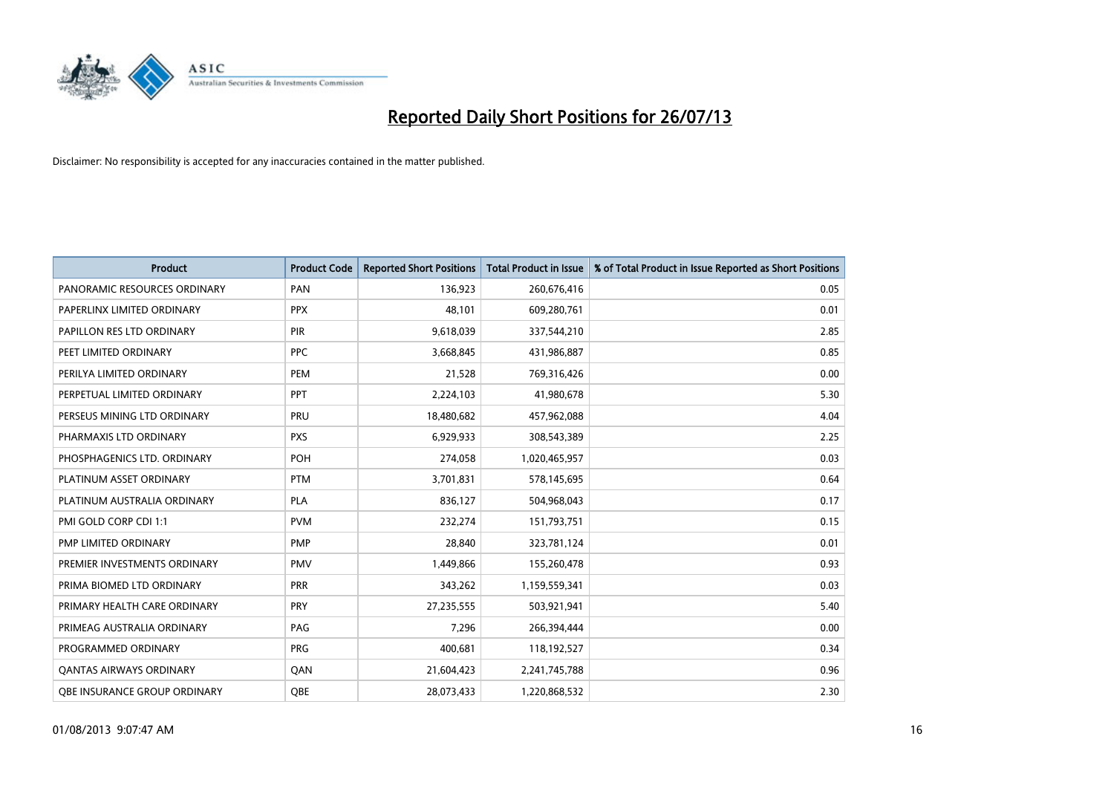

| <b>Product</b>                 | <b>Product Code</b> | <b>Reported Short Positions</b> | <b>Total Product in Issue</b> | % of Total Product in Issue Reported as Short Positions |
|--------------------------------|---------------------|---------------------------------|-------------------------------|---------------------------------------------------------|
| PANORAMIC RESOURCES ORDINARY   | PAN                 | 136,923                         | 260,676,416                   | 0.05                                                    |
| PAPERLINX LIMITED ORDINARY     | <b>PPX</b>          | 48,101                          | 609,280,761                   | 0.01                                                    |
| PAPILLON RES LTD ORDINARY      | <b>PIR</b>          | 9,618,039                       | 337,544,210                   | 2.85                                                    |
| PEET LIMITED ORDINARY          | <b>PPC</b>          | 3,668,845                       | 431,986,887                   | 0.85                                                    |
| PERILYA LIMITED ORDINARY       | PEM                 | 21,528                          | 769,316,426                   | 0.00                                                    |
| PERPETUAL LIMITED ORDINARY     | PPT                 | 2,224,103                       | 41,980,678                    | 5.30                                                    |
| PERSEUS MINING LTD ORDINARY    | PRU                 | 18,480,682                      | 457,962,088                   | 4.04                                                    |
| PHARMAXIS LTD ORDINARY         | <b>PXS</b>          | 6,929,933                       | 308,543,389                   | 2.25                                                    |
| PHOSPHAGENICS LTD. ORDINARY    | <b>POH</b>          | 274,058                         | 1,020,465,957                 | 0.03                                                    |
| PLATINUM ASSET ORDINARY        | <b>PTM</b>          | 3,701,831                       | 578,145,695                   | 0.64                                                    |
| PLATINUM AUSTRALIA ORDINARY    | <b>PLA</b>          | 836,127                         | 504,968,043                   | 0.17                                                    |
| PMI GOLD CORP CDI 1:1          | <b>PVM</b>          | 232,274                         | 151,793,751                   | 0.15                                                    |
| PMP LIMITED ORDINARY           | <b>PMP</b>          | 28,840                          | 323,781,124                   | 0.01                                                    |
| PREMIER INVESTMENTS ORDINARY   | <b>PMV</b>          | 1,449,866                       | 155,260,478                   | 0.93                                                    |
| PRIMA BIOMED LTD ORDINARY      | <b>PRR</b>          | 343,262                         | 1,159,559,341                 | 0.03                                                    |
| PRIMARY HEALTH CARE ORDINARY   | <b>PRY</b>          | 27,235,555                      | 503,921,941                   | 5.40                                                    |
| PRIMEAG AUSTRALIA ORDINARY     | PAG                 | 7,296                           | 266,394,444                   | 0.00                                                    |
| PROGRAMMED ORDINARY            | <b>PRG</b>          | 400,681                         | 118,192,527                   | 0.34                                                    |
| <b>QANTAS AIRWAYS ORDINARY</b> | QAN                 | 21,604,423                      | 2,241,745,788                 | 0.96                                                    |
| OBE INSURANCE GROUP ORDINARY   | <b>OBE</b>          | 28,073,433                      | 1,220,868,532                 | 2.30                                                    |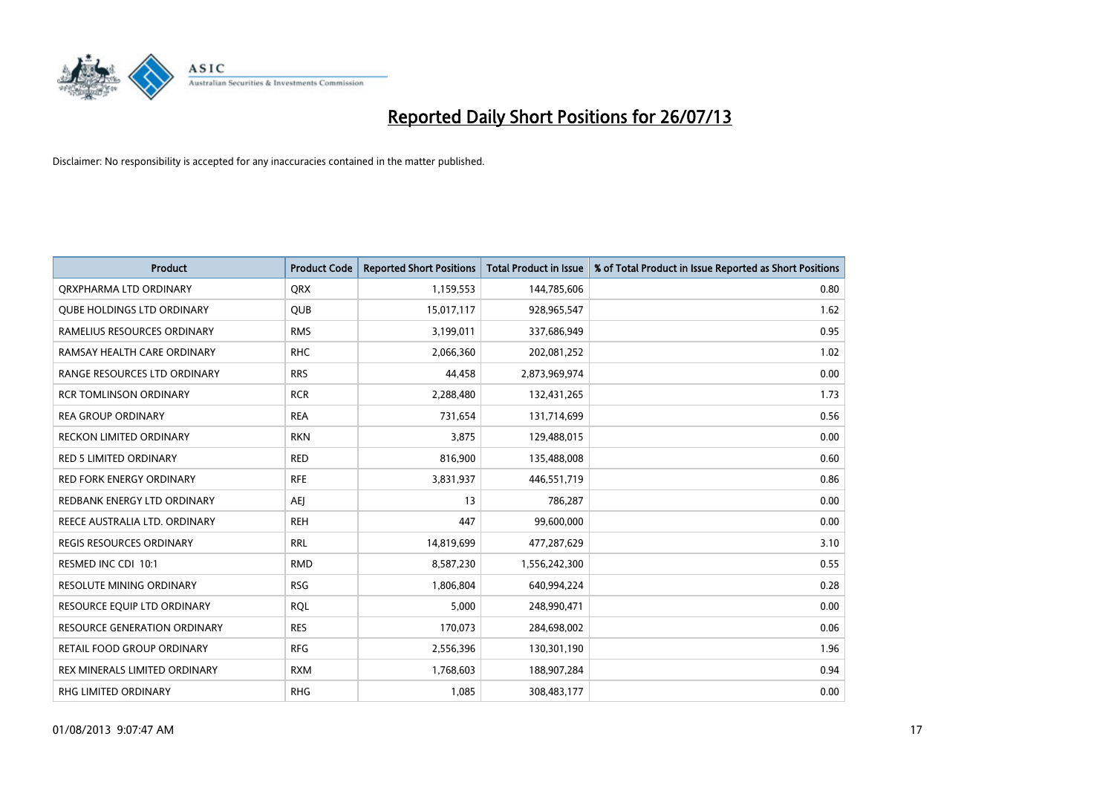

| <b>Product</b>                    | <b>Product Code</b> | <b>Reported Short Positions</b> | <b>Total Product in Issue</b> | % of Total Product in Issue Reported as Short Positions |
|-----------------------------------|---------------------|---------------------------------|-------------------------------|---------------------------------------------------------|
| ORXPHARMA LTD ORDINARY            | <b>QRX</b>          | 1,159,553                       | 144,785,606                   | 0.80                                                    |
| <b>QUBE HOLDINGS LTD ORDINARY</b> | QUB                 | 15,017,117                      | 928,965,547                   | 1.62                                                    |
| RAMELIUS RESOURCES ORDINARY       | <b>RMS</b>          | 3,199,011                       | 337,686,949                   | 0.95                                                    |
| RAMSAY HEALTH CARE ORDINARY       | <b>RHC</b>          | 2,066,360                       | 202,081,252                   | 1.02                                                    |
| RANGE RESOURCES LTD ORDINARY      | <b>RRS</b>          | 44,458                          | 2,873,969,974                 | 0.00                                                    |
| <b>RCR TOMLINSON ORDINARY</b>     | <b>RCR</b>          | 2,288,480                       | 132,431,265                   | 1.73                                                    |
| <b>REA GROUP ORDINARY</b>         | <b>REA</b>          | 731,654                         | 131,714,699                   | 0.56                                                    |
| RECKON LIMITED ORDINARY           | <b>RKN</b>          | 3,875                           | 129,488,015                   | 0.00                                                    |
| <b>RED 5 LIMITED ORDINARY</b>     | <b>RED</b>          | 816,900                         | 135,488,008                   | 0.60                                                    |
| <b>RED FORK ENERGY ORDINARY</b>   | <b>RFE</b>          | 3,831,937                       | 446,551,719                   | 0.86                                                    |
| REDBANK ENERGY LTD ORDINARY       | AEI                 | 13                              | 786,287                       | 0.00                                                    |
| REECE AUSTRALIA LTD. ORDINARY     | <b>REH</b>          | 447                             | 99,600,000                    | 0.00                                                    |
| REGIS RESOURCES ORDINARY          | <b>RRL</b>          | 14,819,699                      | 477,287,629                   | 3.10                                                    |
| RESMED INC CDI 10:1               | <b>RMD</b>          | 8,587,230                       | 1,556,242,300                 | 0.55                                                    |
| <b>RESOLUTE MINING ORDINARY</b>   | <b>RSG</b>          | 1,806,804                       | 640,994,224                   | 0.28                                                    |
| RESOURCE EQUIP LTD ORDINARY       | <b>ROL</b>          | 5,000                           | 248,990,471                   | 0.00                                                    |
| RESOURCE GENERATION ORDINARY      | <b>RES</b>          | 170,073                         | 284,698,002                   | 0.06                                                    |
| RETAIL FOOD GROUP ORDINARY        | <b>RFG</b>          | 2,556,396                       | 130,301,190                   | 1.96                                                    |
| REX MINERALS LIMITED ORDINARY     | <b>RXM</b>          | 1,768,603                       | 188,907,284                   | 0.94                                                    |
| RHG LIMITED ORDINARY              | <b>RHG</b>          | 1,085                           | 308,483,177                   | 0.00                                                    |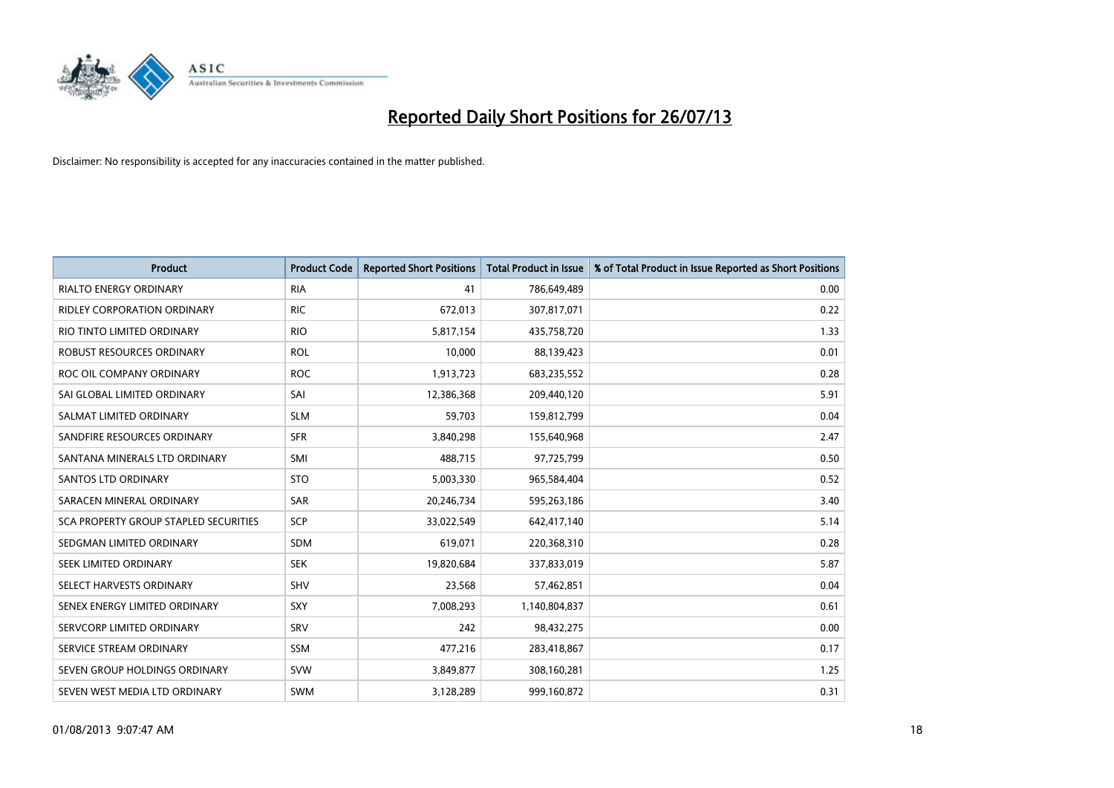

| <b>Product</b>                               | <b>Product Code</b> | <b>Reported Short Positions</b> | <b>Total Product in Issue</b> | % of Total Product in Issue Reported as Short Positions |
|----------------------------------------------|---------------------|---------------------------------|-------------------------------|---------------------------------------------------------|
| <b>RIALTO ENERGY ORDINARY</b>                | <b>RIA</b>          | 41                              | 786,649,489                   | 0.00                                                    |
| RIDLEY CORPORATION ORDINARY                  | <b>RIC</b>          | 672,013                         | 307,817,071                   | 0.22                                                    |
| RIO TINTO LIMITED ORDINARY                   | <b>RIO</b>          | 5,817,154                       | 435,758,720                   | 1.33                                                    |
| ROBUST RESOURCES ORDINARY                    | <b>ROL</b>          | 10,000                          | 88,139,423                    | 0.01                                                    |
| ROC OIL COMPANY ORDINARY                     | <b>ROC</b>          | 1,913,723                       | 683,235,552                   | 0.28                                                    |
| SAI GLOBAL LIMITED ORDINARY                  | SAI                 | 12,386,368                      | 209,440,120                   | 5.91                                                    |
| SALMAT LIMITED ORDINARY                      | <b>SLM</b>          | 59,703                          | 159,812,799                   | 0.04                                                    |
| SANDFIRE RESOURCES ORDINARY                  | <b>SFR</b>          | 3,840,298                       | 155,640,968                   | 2.47                                                    |
| SANTANA MINERALS LTD ORDINARY                | SMI                 | 488,715                         | 97,725,799                    | 0.50                                                    |
| <b>SANTOS LTD ORDINARY</b>                   | <b>STO</b>          | 5,003,330                       | 965,584,404                   | 0.52                                                    |
| SARACEN MINERAL ORDINARY                     | SAR                 | 20,246,734                      | 595,263,186                   | 3.40                                                    |
| <b>SCA PROPERTY GROUP STAPLED SECURITIES</b> | <b>SCP</b>          | 33,022,549                      | 642,417,140                   | 5.14                                                    |
| SEDGMAN LIMITED ORDINARY                     | <b>SDM</b>          | 619,071                         | 220,368,310                   | 0.28                                                    |
| SEEK LIMITED ORDINARY                        | <b>SEK</b>          | 19,820,684                      | 337,833,019                   | 5.87                                                    |
| SELECT HARVESTS ORDINARY                     | SHV                 | 23,568                          | 57,462,851                    | 0.04                                                    |
| SENEX ENERGY LIMITED ORDINARY                | <b>SXY</b>          | 7,008,293                       | 1,140,804,837                 | 0.61                                                    |
| SERVCORP LIMITED ORDINARY                    | SRV                 | 242                             | 98,432,275                    | 0.00                                                    |
| SERVICE STREAM ORDINARY                      | <b>SSM</b>          | 477,216                         | 283,418,867                   | 0.17                                                    |
| SEVEN GROUP HOLDINGS ORDINARY                | <b>SVW</b>          | 3,849,877                       | 308,160,281                   | 1.25                                                    |
| SEVEN WEST MEDIA LTD ORDINARY                | <b>SWM</b>          | 3,128,289                       | 999,160,872                   | 0.31                                                    |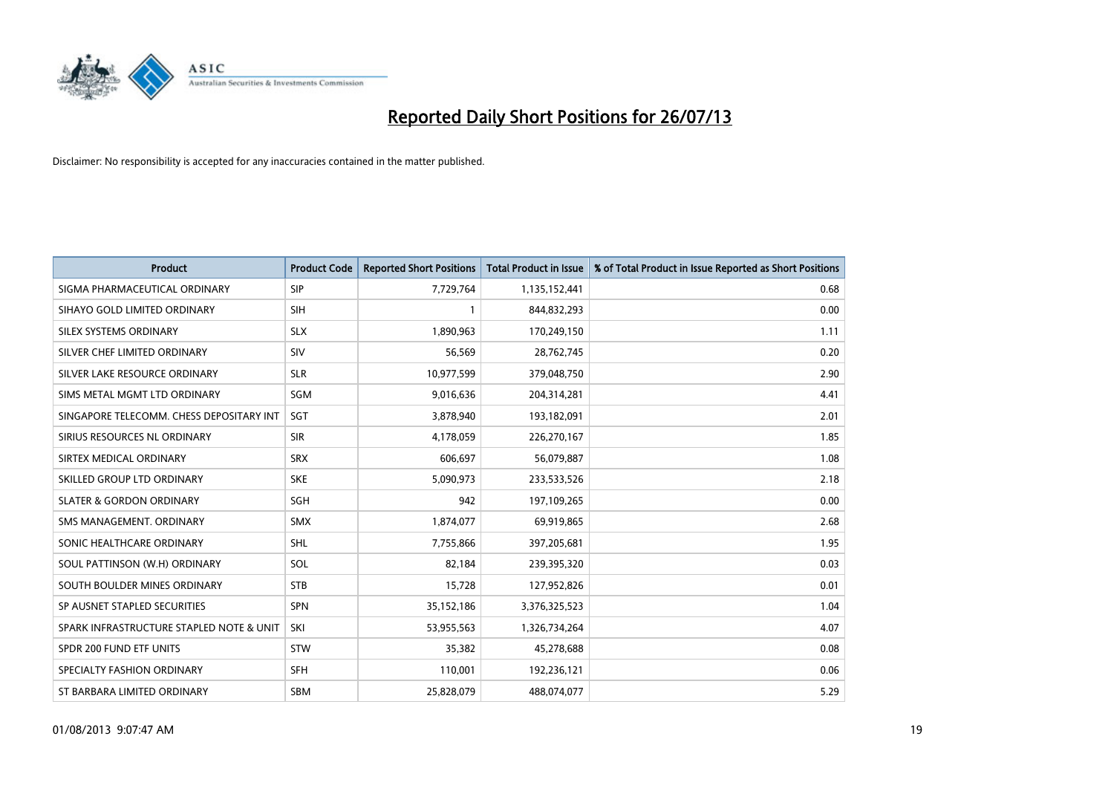

| <b>Product</b>                           | <b>Product Code</b> | <b>Reported Short Positions</b> | <b>Total Product in Issue</b> | % of Total Product in Issue Reported as Short Positions |
|------------------------------------------|---------------------|---------------------------------|-------------------------------|---------------------------------------------------------|
| SIGMA PHARMACEUTICAL ORDINARY            | <b>SIP</b>          | 7,729,764                       | 1,135,152,441                 | 0.68                                                    |
| SIHAYO GOLD LIMITED ORDINARY             | <b>SIH</b>          |                                 | 844,832,293                   | 0.00                                                    |
| <b>SILEX SYSTEMS ORDINARY</b>            | <b>SLX</b>          | 1,890,963                       | 170,249,150                   | 1.11                                                    |
| SILVER CHEF LIMITED ORDINARY             | SIV                 | 56,569                          | 28,762,745                    | 0.20                                                    |
| SILVER LAKE RESOURCE ORDINARY            | <b>SLR</b>          | 10,977,599                      | 379,048,750                   | 2.90                                                    |
| SIMS METAL MGMT LTD ORDINARY             | SGM                 | 9,016,636                       | 204,314,281                   | 4.41                                                    |
| SINGAPORE TELECOMM. CHESS DEPOSITARY INT | <b>SGT</b>          | 3,878,940                       | 193,182,091                   | 2.01                                                    |
| SIRIUS RESOURCES NL ORDINARY             | <b>SIR</b>          | 4,178,059                       | 226,270,167                   | 1.85                                                    |
| SIRTEX MEDICAL ORDINARY                  | <b>SRX</b>          | 606.697                         | 56,079,887                    | 1.08                                                    |
| SKILLED GROUP LTD ORDINARY               | <b>SKE</b>          | 5,090,973                       | 233,533,526                   | 2.18                                                    |
| <b>SLATER &amp; GORDON ORDINARY</b>      | <b>SGH</b>          | 942                             | 197,109,265                   | 0.00                                                    |
| SMS MANAGEMENT, ORDINARY                 | <b>SMX</b>          | 1,874,077                       | 69,919,865                    | 2.68                                                    |
| SONIC HEALTHCARE ORDINARY                | <b>SHL</b>          | 7,755,866                       | 397,205,681                   | 1.95                                                    |
| SOUL PATTINSON (W.H) ORDINARY            | SOL                 | 82,184                          | 239,395,320                   | 0.03                                                    |
| SOUTH BOULDER MINES ORDINARY             | <b>STB</b>          | 15,728                          | 127,952,826                   | 0.01                                                    |
| SP AUSNET STAPLED SECURITIES             | <b>SPN</b>          | 35,152,186                      | 3,376,325,523                 | 1.04                                                    |
| SPARK INFRASTRUCTURE STAPLED NOTE & UNIT | SKI                 | 53,955,563                      | 1,326,734,264                 | 4.07                                                    |
| SPDR 200 FUND ETF UNITS                  | <b>STW</b>          | 35,382                          | 45,278,688                    | 0.08                                                    |
| SPECIALTY FASHION ORDINARY               | <b>SFH</b>          | 110,001                         | 192,236,121                   | 0.06                                                    |
| ST BARBARA LIMITED ORDINARY              | <b>SBM</b>          | 25,828,079                      | 488,074,077                   | 5.29                                                    |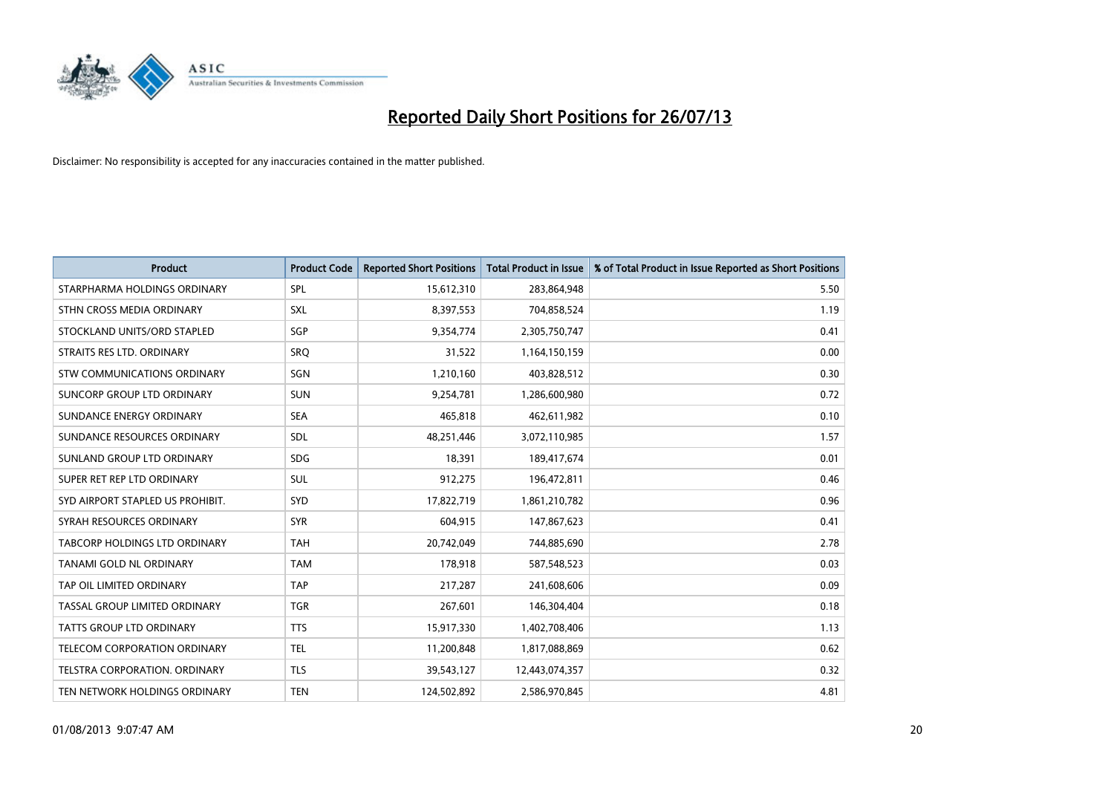

| <b>Product</b>                       | <b>Product Code</b> | <b>Reported Short Positions</b> | <b>Total Product in Issue</b> | % of Total Product in Issue Reported as Short Positions |
|--------------------------------------|---------------------|---------------------------------|-------------------------------|---------------------------------------------------------|
| STARPHARMA HOLDINGS ORDINARY         | SPL                 | 15,612,310                      | 283,864,948                   | 5.50                                                    |
| STHN CROSS MEDIA ORDINARY            | <b>SXL</b>          | 8,397,553                       | 704,858,524                   | 1.19                                                    |
| STOCKLAND UNITS/ORD STAPLED          | SGP                 | 9,354,774                       | 2,305,750,747                 | 0.41                                                    |
| STRAITS RES LTD. ORDINARY            | SRQ                 | 31,522                          | 1,164,150,159                 | 0.00                                                    |
| STW COMMUNICATIONS ORDINARY          | SGN                 | 1,210,160                       | 403,828,512                   | 0.30                                                    |
| SUNCORP GROUP LTD ORDINARY           | <b>SUN</b>          | 9,254,781                       | 1,286,600,980                 | 0.72                                                    |
| SUNDANCE ENERGY ORDINARY             | <b>SEA</b>          | 465.818                         | 462,611,982                   | 0.10                                                    |
| SUNDANCE RESOURCES ORDINARY          | <b>SDL</b>          | 48,251,446                      | 3,072,110,985                 | 1.57                                                    |
| SUNLAND GROUP LTD ORDINARY           | <b>SDG</b>          | 18,391                          | 189,417,674                   | 0.01                                                    |
| SUPER RET REP LTD ORDINARY           | <b>SUL</b>          | 912,275                         | 196,472,811                   | 0.46                                                    |
| SYD AIRPORT STAPLED US PROHIBIT.     | <b>SYD</b>          | 17,822,719                      | 1,861,210,782                 | 0.96                                                    |
| SYRAH RESOURCES ORDINARY             | <b>SYR</b>          | 604,915                         | 147,867,623                   | 0.41                                                    |
| TABCORP HOLDINGS LTD ORDINARY        | <b>TAH</b>          | 20,742,049                      | 744,885,690                   | 2.78                                                    |
| <b>TANAMI GOLD NL ORDINARY</b>       | <b>TAM</b>          | 178,918                         | 587,548,523                   | 0.03                                                    |
| TAP OIL LIMITED ORDINARY             | <b>TAP</b>          | 217,287                         | 241,608,606                   | 0.09                                                    |
| TASSAL GROUP LIMITED ORDINARY        | <b>TGR</b>          | 267,601                         | 146,304,404                   | 0.18                                                    |
| TATTS GROUP LTD ORDINARY             | <b>TTS</b>          | 15,917,330                      | 1,402,708,406                 | 1.13                                                    |
| TELECOM CORPORATION ORDINARY         | <b>TEL</b>          | 11,200,848                      | 1,817,088,869                 | 0.62                                                    |
| <b>TELSTRA CORPORATION, ORDINARY</b> | <b>TLS</b>          | 39,543,127                      | 12,443,074,357                | 0.32                                                    |
| TEN NETWORK HOLDINGS ORDINARY        | <b>TEN</b>          | 124,502,892                     | 2,586,970,845                 | 4.81                                                    |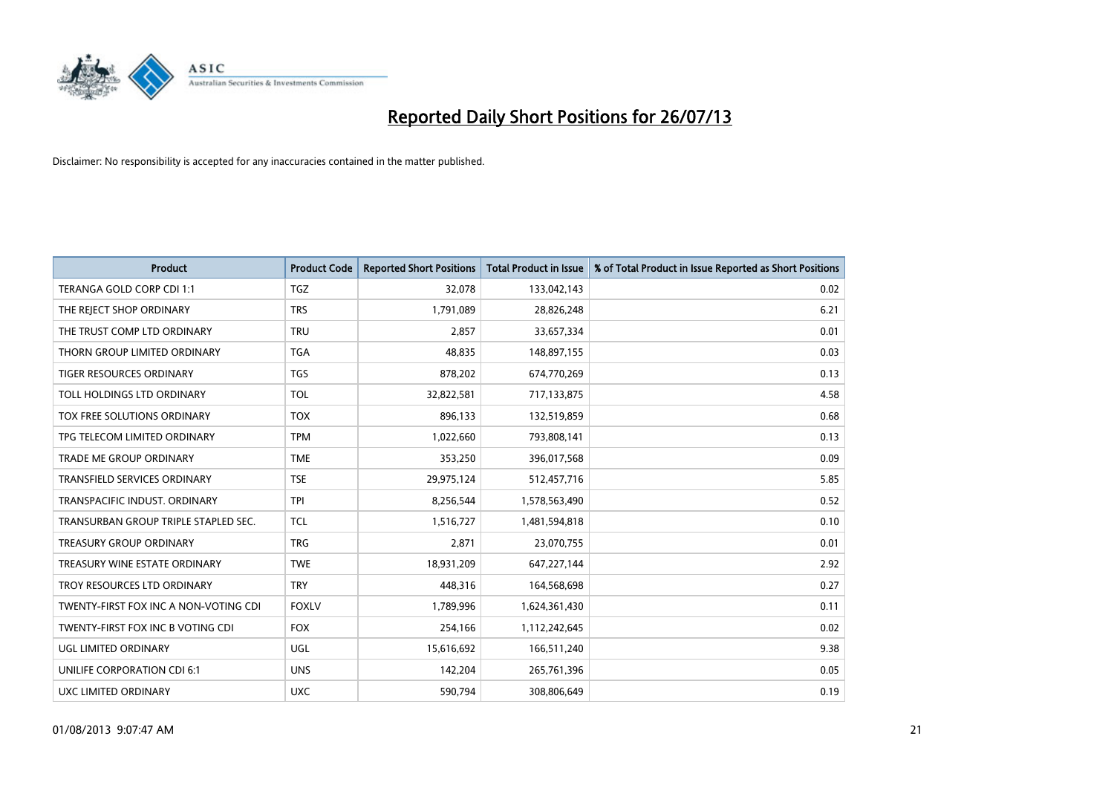

| <b>Product</b>                        | <b>Product Code</b> | <b>Reported Short Positions</b> | <b>Total Product in Issue</b> | % of Total Product in Issue Reported as Short Positions |
|---------------------------------------|---------------------|---------------------------------|-------------------------------|---------------------------------------------------------|
| TERANGA GOLD CORP CDI 1:1             | <b>TGZ</b>          | 32,078                          | 133,042,143                   | 0.02                                                    |
| THE REJECT SHOP ORDINARY              | <b>TRS</b>          | 1,791,089                       | 28,826,248                    | 6.21                                                    |
| THE TRUST COMP LTD ORDINARY           | <b>TRU</b>          | 2,857                           | 33,657,334                    | 0.01                                                    |
| THORN GROUP LIMITED ORDINARY          | <b>TGA</b>          | 48,835                          | 148,897,155                   | 0.03                                                    |
| <b>TIGER RESOURCES ORDINARY</b>       | <b>TGS</b>          | 878,202                         | 674,770,269                   | 0.13                                                    |
| TOLL HOLDINGS LTD ORDINARY            | <b>TOL</b>          | 32,822,581                      | 717,133,875                   | 4.58                                                    |
| TOX FREE SOLUTIONS ORDINARY           | <b>TOX</b>          | 896,133                         | 132,519,859                   | 0.68                                                    |
| TPG TELECOM LIMITED ORDINARY          | <b>TPM</b>          | 1,022,660                       | 793,808,141                   | 0.13                                                    |
| <b>TRADE ME GROUP ORDINARY</b>        | <b>TME</b>          | 353,250                         | 396,017,568                   | 0.09                                                    |
| <b>TRANSFIELD SERVICES ORDINARY</b>   | <b>TSE</b>          | 29,975,124                      | 512,457,716                   | 5.85                                                    |
| TRANSPACIFIC INDUST. ORDINARY         | <b>TPI</b>          | 8,256,544                       | 1,578,563,490                 | 0.52                                                    |
| TRANSURBAN GROUP TRIPLE STAPLED SEC.  | <b>TCL</b>          | 1,516,727                       | 1,481,594,818                 | 0.10                                                    |
| TREASURY GROUP ORDINARY               | <b>TRG</b>          | 2,871                           | 23,070,755                    | 0.01                                                    |
| TREASURY WINE ESTATE ORDINARY         | <b>TWE</b>          | 18,931,209                      | 647,227,144                   | 2.92                                                    |
| TROY RESOURCES LTD ORDINARY           | <b>TRY</b>          | 448,316                         | 164,568,698                   | 0.27                                                    |
| TWENTY-FIRST FOX INC A NON-VOTING CDI | <b>FOXLV</b>        | 1,789,996                       | 1,624,361,430                 | 0.11                                                    |
| TWENTY-FIRST FOX INC B VOTING CDI     | <b>FOX</b>          | 254,166                         | 1,112,242,645                 | 0.02                                                    |
| UGL LIMITED ORDINARY                  | UGL                 | 15,616,692                      | 166,511,240                   | 9.38                                                    |
| UNILIFE CORPORATION CDI 6:1           | <b>UNS</b>          | 142,204                         | 265,761,396                   | 0.05                                                    |
| UXC LIMITED ORDINARY                  | <b>UXC</b>          | 590,794                         | 308,806,649                   | 0.19                                                    |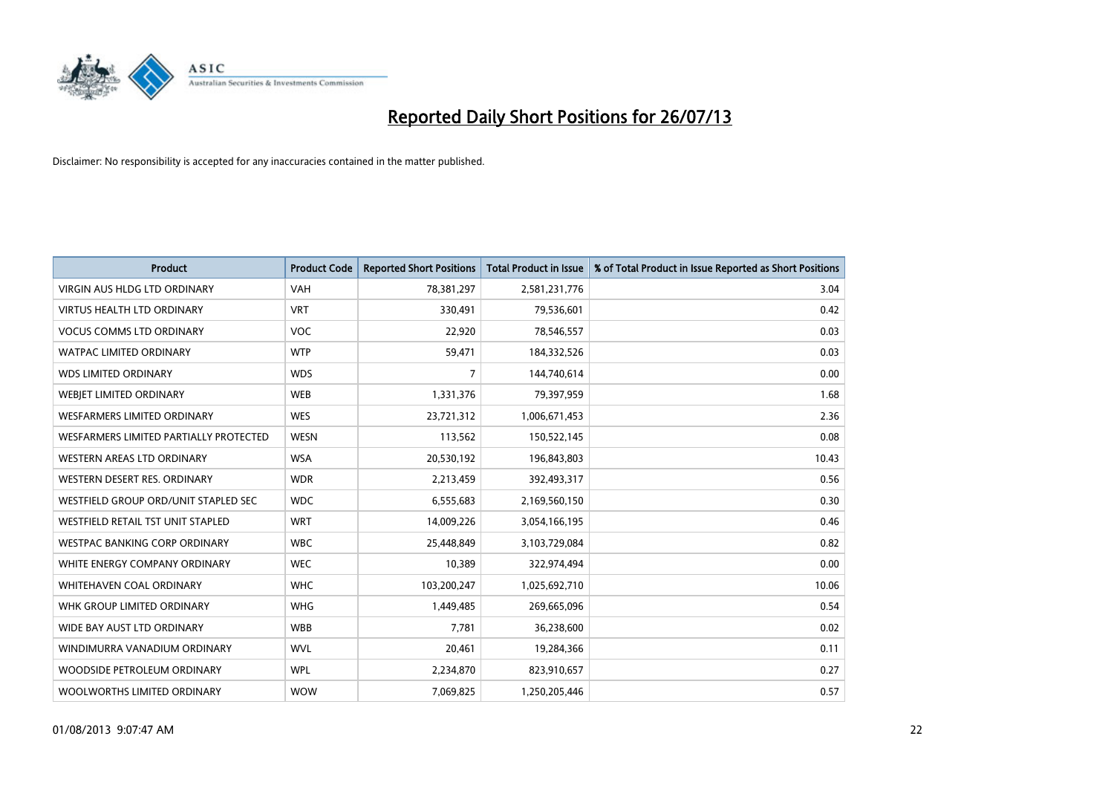

| <b>Product</b>                         | <b>Product Code</b> | <b>Reported Short Positions</b> | <b>Total Product in Issue</b> | % of Total Product in Issue Reported as Short Positions |
|----------------------------------------|---------------------|---------------------------------|-------------------------------|---------------------------------------------------------|
| <b>VIRGIN AUS HLDG LTD ORDINARY</b>    | <b>VAH</b>          | 78,381,297                      | 2,581,231,776                 | 3.04                                                    |
| <b>VIRTUS HEALTH LTD ORDINARY</b>      | <b>VRT</b>          | 330,491                         | 79,536,601                    | 0.42                                                    |
| <b>VOCUS COMMS LTD ORDINARY</b>        | <b>VOC</b>          | 22,920                          | 78,546,557                    | 0.03                                                    |
| WATPAC LIMITED ORDINARY                | <b>WTP</b>          | 59,471                          | 184,332,526                   | 0.03                                                    |
| <b>WDS LIMITED ORDINARY</b>            | <b>WDS</b>          | 7                               | 144,740,614                   | 0.00                                                    |
| WEBIET LIMITED ORDINARY                | <b>WEB</b>          | 1,331,376                       | 79,397,959                    | 1.68                                                    |
| <b>WESFARMERS LIMITED ORDINARY</b>     | <b>WES</b>          | 23,721,312                      | 1,006,671,453                 | 2.36                                                    |
| WESFARMERS LIMITED PARTIALLY PROTECTED | <b>WESN</b>         | 113,562                         | 150,522,145                   | 0.08                                                    |
| <b>WESTERN AREAS LTD ORDINARY</b>      | <b>WSA</b>          | 20,530,192                      | 196,843,803                   | 10.43                                                   |
| WESTERN DESERT RES. ORDINARY           | <b>WDR</b>          | 2,213,459                       | 392,493,317                   | 0.56                                                    |
| WESTFIELD GROUP ORD/UNIT STAPLED SEC   | <b>WDC</b>          | 6,555,683                       | 2,169,560,150                 | 0.30                                                    |
| WESTFIELD RETAIL TST UNIT STAPLED      | <b>WRT</b>          | 14,009,226                      | 3,054,166,195                 | 0.46                                                    |
| WESTPAC BANKING CORP ORDINARY          | <b>WBC</b>          | 25,448,849                      | 3,103,729,084                 | 0.82                                                    |
| WHITE ENERGY COMPANY ORDINARY          | <b>WEC</b>          | 10,389                          | 322,974,494                   | 0.00                                                    |
| <b>WHITEHAVEN COAL ORDINARY</b>        | <b>WHC</b>          | 103,200,247                     | 1,025,692,710                 | 10.06                                                   |
| WHK GROUP LIMITED ORDINARY             | <b>WHG</b>          | 1,449,485                       | 269,665,096                   | 0.54                                                    |
| WIDE BAY AUST LTD ORDINARY             | <b>WBB</b>          | 7,781                           | 36,238,600                    | 0.02                                                    |
| WINDIMURRA VANADIUM ORDINARY           | <b>WVL</b>          | 20,461                          | 19,284,366                    | 0.11                                                    |
| WOODSIDE PETROLEUM ORDINARY            | <b>WPL</b>          | 2,234,870                       | 823,910,657                   | 0.27                                                    |
| WOOLWORTHS LIMITED ORDINARY            | <b>WOW</b>          | 7,069,825                       | 1,250,205,446                 | 0.57                                                    |